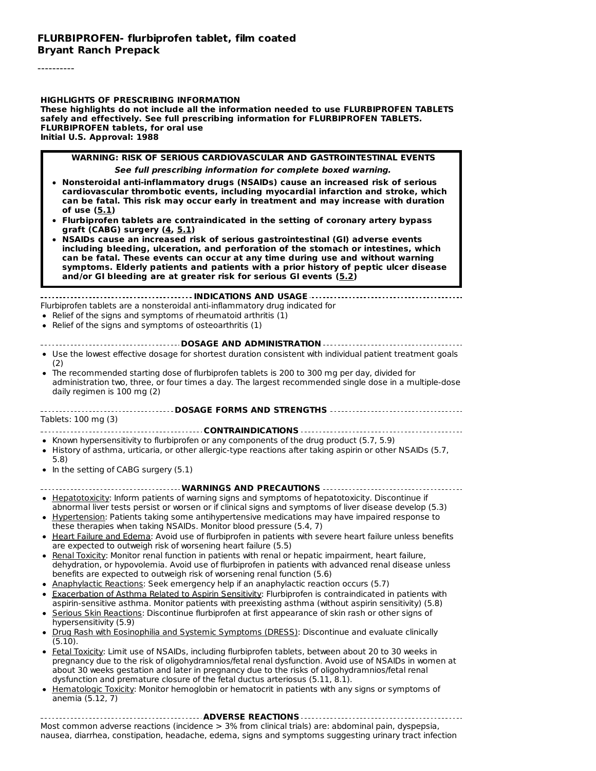----------

**HIGHLIGHTS OF PRESCRIBING INFORMATION These highlights do not include all the information needed to use FLURBIPROFEN TABLETS safely and effectively. See full prescribing information for FLURBIPROFEN TABLETS. FLURBIPROFEN tablets, for oral use Initial U.S. Approval: 1988**

**WARNING: RISK OF SERIOUS CARDIOVASCULAR AND GASTROINTESTINAL EVENTS**

**See full prescribing information for complete boxed warning.**

- **Nonsteroidal anti-inflammatory drugs (NSAIDs) cause an increased risk of serious cardiovascular thrombotic events, including myocardial infarction and stroke, which can be fatal. This risk may occur early in treatment and may increase with duration of use (5.1)**
- **Flurbiprofen tablets are contraindicated in the setting of coronary artery bypass graft (CABG) surgery (4, 5.1)**
- **NSAIDs cause an increased risk of serious gastrointestinal (GI) adverse events including bleeding, ulceration, and perforation of the stomach or intestines, which can be fatal. These events can occur at any time during use and without warning symptoms. Elderly patients and patients with a prior history of peptic ulcer disease and/or GI bleeding are at greater risk for serious GI events (5.2)**

#### **INDICATIONS AND USAGE**

Flurbiprofen tablets are a nonsteroidal anti-inflammatory drug indicated for

- Relief of the signs and symptoms of rheumatoid arthritis (1)
- Relief of the signs and symptoms of osteoarthritis (1)

#### **DOSAGE AND ADMINISTRATION**

- Use the lowest effective dosage for shortest duration consistent with individual patient treatment goals (2)
- The recommended starting dose of flurbiprofen tablets is 200 to 300 mg per day, divided for administration two, three, or four times a day. The largest recommended single dose in a multiple-dose daily regimen is 100 mg (2)

#### **DOSAGE FORMS AND STRENGTHS**

Tablets: 100 mg (3)

#### **CONTRAINDICATIONS**

• Known hypersensitivity to flurbiprofen or any components of the drug product (5.7, 5.9)

- History of asthma, urticaria, or other allergic-type reactions after taking aspirin or other NSAIDs (5.7, 5.8)
- $\bullet$  In the setting of CABG surgery (5.1)

#### **WARNINGS AND PRECAUTIONS**

- Hepatotoxicity: Inform patients of warning signs and symptoms of hepatotoxicity. Discontinue if abnormal liver tests persist or worsen or if clinical signs and symptoms of liver disease develop (5.3)
- Hypertension: Patients taking some antihypertensive medications may have impaired response to these therapies when taking NSAIDs. Monitor blood pressure (5.4, 7)
- . Heart Failure and Edema: Avoid use of flurbiprofen in patients with severe heart failure unless benefits are expected to outweigh risk of worsening heart failure (5.5)
- Renal Toxicity: Monitor renal function in patients with renal or hepatic impairment, heart failure, dehydration, or hypovolemia. Avoid use of flurbiprofen in patients with advanced renal disease unless benefits are expected to outweigh risk of worsening renal function (5.6)
- Anaphylactic Reactions: Seek emergency help if an anaphylactic reaction occurs (5.7)
- Exacerbation of Asthma Related to Aspirin Sensitivity: Flurbiprofen is contraindicated in patients with aspirin-sensitive asthma. Monitor patients with preexisting asthma (without aspirin sensitivity) (5.8)
- Serious Skin Reactions: Discontinue flurbiprofen at first appearance of skin rash or other signs of hypersensitivity (5.9)
- Drug Rash with Eosinophilia and Systemic Symptoms (DRESS): Discontinue and evaluate clinically (5.10).
- Fetal Toxicity: Limit use of NSAIDs, including flurbiprofen tablets, between about 20 to 30 weeks in pregnancy due to the risk of oligohydramnios/fetal renal dysfunction. Avoid use of NSAIDs in women at about 30 weeks gestation and later in pregnancy due to the risks of oligohydramnios/fetal renal dysfunction and premature closure of the fetal ductus arteriosus (5.11, 8.1).
- Hematologic Toxicity: Monitor hemoglobin or hematocrit in patients with any signs or symptoms of anemia (5.12, 7)

**ADVERSE REACTIONS** Most common adverse reactions (incidence > 3% from clinical trials) are: abdominal pain, dyspepsia, nausea, diarrhea, constipation, headache, edema, signs and symptoms suggesting urinary tract infection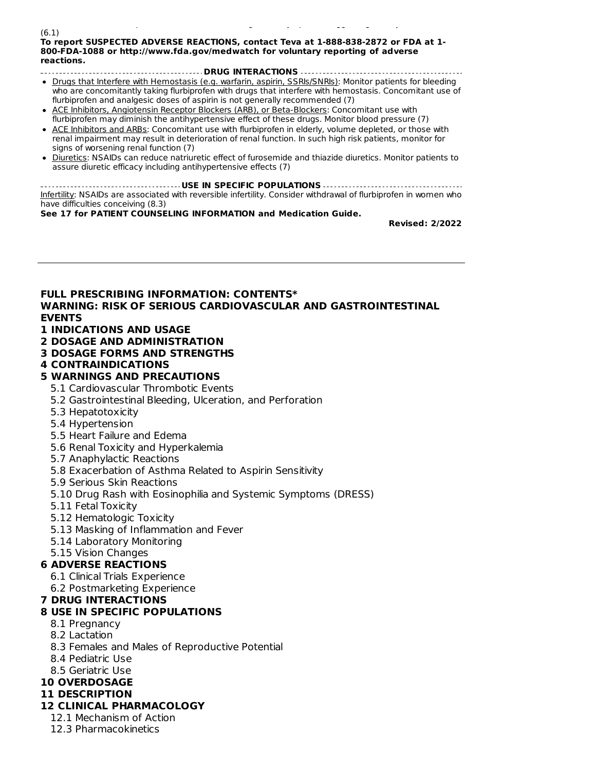(6.1) **To report SUSPECTED ADVERSE REACTIONS, contact Teva at 1-888-838-2872 or FDA at 1- 800-FDA-1088 or http://www.fda.gov/medwatch for voluntary reporting of adverse reactions.**

#### **DRUG INTERACTIONS**

• Drugs that Interfere with Hemostasis (e.g. warfarin, aspirin, SSRIs/SNRIs): Monitor patients for bleeding who are concomitantly taking flurbiprofen with drugs that interfere with hemostasis. Concomitant use of flurbiprofen and analgesic doses of aspirin is not generally recommended (7)

nausea, diarrhea, constipation, headache, edema, signs and symptoms suggesting urinary tract infection

- ACE Inhibitors, Angiotensin Receptor Blockers (ARB), or Beta-Blockers: Concomitant use with flurbiprofen may diminish the antihypertensive effect of these drugs. Monitor blood pressure (7)
- ACE Inhibitors and ARBs: Concomitant use with flurbiprofen in elderly, volume depleted, or those with renal impairment may result in deterioration of renal function. In such high risk patients, monitor for signs of worsening renal function (7)
- Diuretics: NSAIDs can reduce natriuretic effect of furosemide and thiazide diuretics. Monitor patients to assure diuretic efficacy including antihypertensive effects (7)

**USE IN SPECIFIC POPULATIONS** Infertility: NSAIDs are associated with reversible infertility. Consider withdrawal of flurbiprofen in women who have difficulties conceiving (8.3)

**See 17 for PATIENT COUNSELING INFORMATION and Medication Guide.**

**Revised: 2/2022**

#### **FULL PRESCRIBING INFORMATION: CONTENTS\* WARNING: RISK OF SERIOUS CARDIOVASCULAR AND GASTROINTESTINAL EVENTS**

- **1 INDICATIONS AND USAGE**
- **2 DOSAGE AND ADMINISTRATION**
- **3 DOSAGE FORMS AND STRENGTHS**

#### **4 CONTRAINDICATIONS**

#### **5 WARNINGS AND PRECAUTIONS**

- 5.1 Cardiovascular Thrombotic Events
- 5.2 Gastrointestinal Bleeding, Ulceration, and Perforation
- 5.3 Hepatotoxicity
- 5.4 Hypertension
- 5.5 Heart Failure and Edema
- 5.6 Renal Toxicity and Hyperkalemia
- 5.7 Anaphylactic Reactions
- 5.8 Exacerbation of Asthma Related to Aspirin Sensitivity
- 5.9 Serious Skin Reactions
- 5.10 Drug Rash with Eosinophilia and Systemic Symptoms (DRESS)
- 5.11 Fetal Toxicity
- 5.12 Hematologic Toxicity
- 5.13 Masking of Inflammation and Fever
- 5.14 Laboratory Monitoring
- 5.15 Vision Changes

#### **6 ADVERSE REACTIONS**

- 6.1 Clinical Trials Experience
- 6.2 Postmarketing Experience

#### **7 DRUG INTERACTIONS**

#### **8 USE IN SPECIFIC POPULATIONS**

- 8.1 Pregnancy
- 8.2 Lactation
- 8.3 Females and Males of Reproductive Potential
- 8.4 Pediatric Use
- 8.5 Geriatric Use

# **10 OVERDOSAGE**

#### **11 DESCRIPTION**

- **12 CLINICAL PHARMACOLOGY**
	- 12.1 Mechanism of Action
	- 12.3 Pharmacokinetics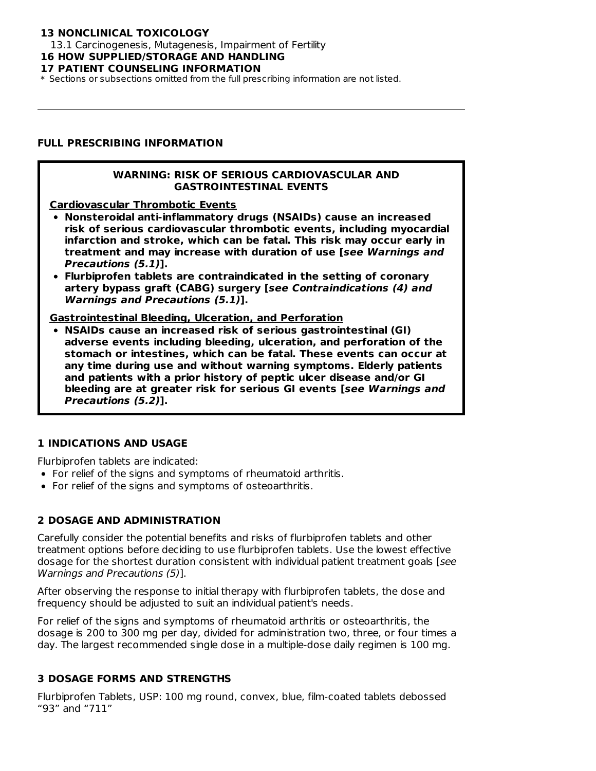## **13 NONCLINICAL TOXICOLOGY**

13.1 Carcinogenesis, Mutagenesis, Impairment of Fertility

#### **16 HOW SUPPLIED/STORAGE AND HANDLING**

#### **17 PATIENT COUNSELING INFORMATION**

\* Sections or subsections omitted from the full prescribing information are not listed.

#### **FULL PRESCRIBING INFORMATION**

#### **WARNING: RISK OF SERIOUS CARDIOVASCULAR AND GASTROINTESTINAL EVENTS**

**Cardiovascular Thrombotic Events**

- **Nonsteroidal anti-inflammatory drugs (NSAIDs) cause an increased risk of serious cardiovascular thrombotic events, including myocardial infarction and stroke, which can be fatal. This risk may occur early in treatment and may increase with duration of use [see Warnings and Precautions (5.1)].**
- **Flurbiprofen tablets are contraindicated in the setting of coronary artery bypass graft (CABG) surgery [see Contraindications (4) and Warnings and Precautions (5.1)].**

**Gastrointestinal Bleeding, Ulceration, and Perforation**

**NSAIDs cause an increased risk of serious gastrointestinal (GI) adverse events including bleeding, ulceration, and perforation of the stomach or intestines, which can be fatal. These events can occur at any time during use and without warning symptoms. Elderly patients and patients with a prior history of peptic ulcer disease and/or GI bleeding are at greater risk for serious GI events [see Warnings and Precautions (5.2)].**

#### **1 INDICATIONS AND USAGE**

Flurbiprofen tablets are indicated:

- For relief of the signs and symptoms of rheumatoid arthritis.
- For relief of the signs and symptoms of osteoarthritis.

#### **2 DOSAGE AND ADMINISTRATION**

Carefully consider the potential benefits and risks of flurbiprofen tablets and other treatment options before deciding to use flurbiprofen tablets. Use the lowest effective dosage for the shortest duration consistent with individual patient treatment goals [see Warnings and Precautions (5)].

After observing the response to initial therapy with flurbiprofen tablets, the dose and frequency should be adjusted to suit an individual patient's needs.

For relief of the signs and symptoms of rheumatoid arthritis or osteoarthritis, the dosage is 200 to 300 mg per day, divided for administration two, three, or four times a day. The largest recommended single dose in a multiple-dose daily regimen is 100 mg.

#### **3 DOSAGE FORMS AND STRENGTHS**

Flurbiprofen Tablets, USP: 100 mg round, convex, blue, film-coated tablets debossed "93" and "711"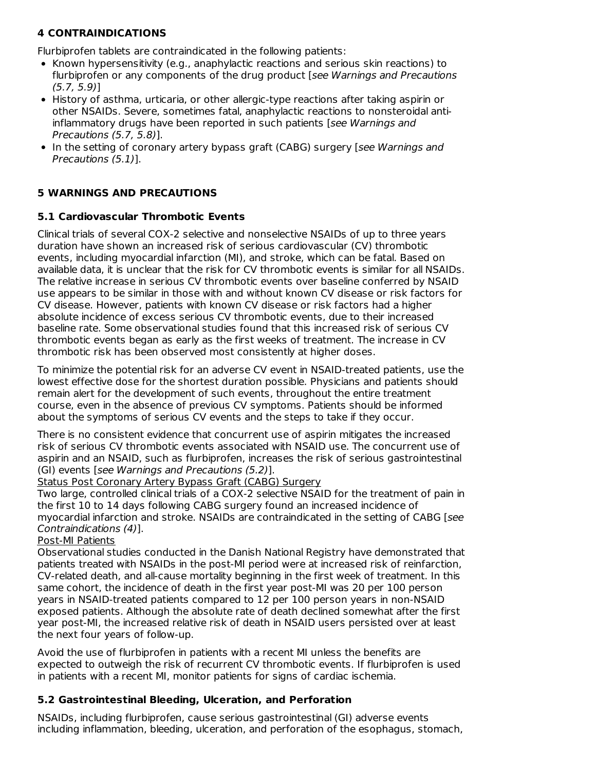# **4 CONTRAINDICATIONS**

Flurbiprofen tablets are contraindicated in the following patients:

- Known hypersensitivity (e.g., anaphylactic reactions and serious skin reactions) to flurbiprofen or any components of the drug product [see Warnings and Precautions (5.7, 5.9)]
- History of asthma, urticaria, or other allergic-type reactions after taking aspirin or other NSAIDs. Severe, sometimes fatal, anaphylactic reactions to nonsteroidal antiinflammatory drugs have been reported in such patients [see Warnings and Precautions (5.7, 5.8)].
- In the setting of coronary artery bypass graft (CABG) surgery [see Warnings and Precautions (5.1)].

# **5 WARNINGS AND PRECAUTIONS**

#### **5.1 Cardiovascular Thrombotic Events**

Clinical trials of several COX-2 selective and nonselective NSAIDs of up to three years duration have shown an increased risk of serious cardiovascular (CV) thrombotic events, including myocardial infarction (MI), and stroke, which can be fatal. Based on available data, it is unclear that the risk for CV thrombotic events is similar for all NSAIDs. The relative increase in serious CV thrombotic events over baseline conferred by NSAID use appears to be similar in those with and without known CV disease or risk factors for CV disease. However, patients with known CV disease or risk factors had a higher absolute incidence of excess serious CV thrombotic events, due to their increased baseline rate. Some observational studies found that this increased risk of serious CV thrombotic events began as early as the first weeks of treatment. The increase in CV thrombotic risk has been observed most consistently at higher doses.

To minimize the potential risk for an adverse CV event in NSAID-treated patients, use the lowest effective dose for the shortest duration possible. Physicians and patients should remain alert for the development of such events, throughout the entire treatment course, even in the absence of previous CV symptoms. Patients should be informed about the symptoms of serious CV events and the steps to take if they occur.

There is no consistent evidence that concurrent use of aspirin mitigates the increased risk of serious CV thrombotic events associated with NSAID use. The concurrent use of aspirin and an NSAID, such as flurbiprofen, increases the risk of serious gastrointestinal (GI) events [see Warnings and Precautions (5.2)].

#### Status Post Coronary Artery Bypass Graft (CABG) Surgery

Two large, controlled clinical trials of a COX-2 selective NSAID for the treatment of pain in the first 10 to 14 days following CABG surgery found an increased incidence of myocardial infarction and stroke. NSAIDs are contraindicated in the setting of CABG [see Contraindications (4)].

#### Post-MI Patients

Observational studies conducted in the Danish National Registry have demonstrated that patients treated with NSAIDs in the post-MI period were at increased risk of reinfarction, CV-related death, and all-cause mortality beginning in the first week of treatment. In this same cohort, the incidence of death in the first year post-MI was 20 per 100 person years in NSAID-treated patients compared to 12 per 100 person years in non-NSAID exposed patients. Although the absolute rate of death declined somewhat after the first year post-MI, the increased relative risk of death in NSAID users persisted over at least the next four years of follow-up.

Avoid the use of flurbiprofen in patients with a recent MI unless the benefits are expected to outweigh the risk of recurrent CV thrombotic events. If flurbiprofen is used in patients with a recent MI, monitor patients for signs of cardiac ischemia.

# **5.2 Gastrointestinal Bleeding, Ulceration, and Perforation**

NSAIDs, including flurbiprofen, cause serious gastrointestinal (GI) adverse events including inflammation, bleeding, ulceration, and perforation of the esophagus, stomach,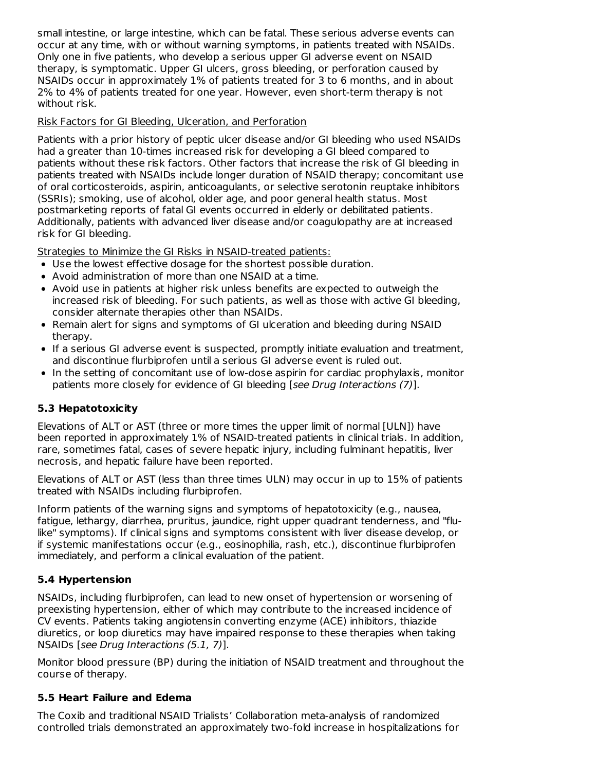small intestine, or large intestine, which can be fatal. These serious adverse events can occur at any time, with or without warning symptoms, in patients treated with NSAIDs. Only one in five patients, who develop a serious upper GI adverse event on NSAID therapy, is symptomatic. Upper GI ulcers, gross bleeding, or perforation caused by NSAIDs occur in approximately 1% of patients treated for 3 to 6 months, and in about 2% to 4% of patients treated for one year. However, even short-term therapy is not without risk.

#### Risk Factors for GI Bleeding, Ulceration, and Perforation

Patients with a prior history of peptic ulcer disease and/or GI bleeding who used NSAIDs had a greater than 10-times increased risk for developing a GI bleed compared to patients without these risk factors. Other factors that increase the risk of GI bleeding in patients treated with NSAIDs include longer duration of NSAID therapy; concomitant use of oral corticosteroids, aspirin, anticoagulants, or selective serotonin reuptake inhibitors (SSRIs); smoking, use of alcohol, older age, and poor general health status. Most postmarketing reports of fatal GI events occurred in elderly or debilitated patients. Additionally, patients with advanced liver disease and/or coagulopathy are at increased risk for GI bleeding.

Strategies to Minimize the GI Risks in NSAID-treated patients:

- Use the lowest effective dosage for the shortest possible duration.
- Avoid administration of more than one NSAID at a time.
- Avoid use in patients at higher risk unless benefits are expected to outweigh the increased risk of bleeding. For such patients, as well as those with active GI bleeding, consider alternate therapies other than NSAIDs.
- Remain alert for signs and symptoms of GI ulceration and bleeding during NSAID therapy.
- If a serious GI adverse event is suspected, promptly initiate evaluation and treatment, and discontinue flurbiprofen until a serious GI adverse event is ruled out.
- In the setting of concomitant use of low-dose aspirin for cardiac prophylaxis, monitor patients more closely for evidence of GI bleeding [see Drug Interactions (7)].

# **5.3 Hepatotoxicity**

Elevations of ALT or AST (three or more times the upper limit of normal [ULN]) have been reported in approximately 1% of NSAID-treated patients in clinical trials. In addition, rare, sometimes fatal, cases of severe hepatic injury, including fulminant hepatitis, liver necrosis, and hepatic failure have been reported.

Elevations of ALT or AST (less than three times ULN) may occur in up to 15% of patients treated with NSAIDs including flurbiprofen.

Inform patients of the warning signs and symptoms of hepatotoxicity (e.g., nausea, fatigue, lethargy, diarrhea, pruritus, jaundice, right upper quadrant tenderness, and "flulike" symptoms). If clinical signs and symptoms consistent with liver disease develop, or if systemic manifestations occur (e.g., eosinophilia, rash, etc.), discontinue flurbiprofen immediately, and perform a clinical evaluation of the patient.

# **5.4 Hypertension**

NSAIDs, including flurbiprofen, can lead to new onset of hypertension or worsening of preexisting hypertension, either of which may contribute to the increased incidence of CV events. Patients taking angiotensin converting enzyme (ACE) inhibitors, thiazide diuretics, or loop diuretics may have impaired response to these therapies when taking NSAIDs [see Drug Interactions (5.1, 7)].

Monitor blood pressure (BP) during the initiation of NSAID treatment and throughout the course of therapy.

# **5.5 Heart Failure and Edema**

The Coxib and traditional NSAID Trialists' Collaboration meta-analysis of randomized controlled trials demonstrated an approximately two-fold increase in hospitalizations for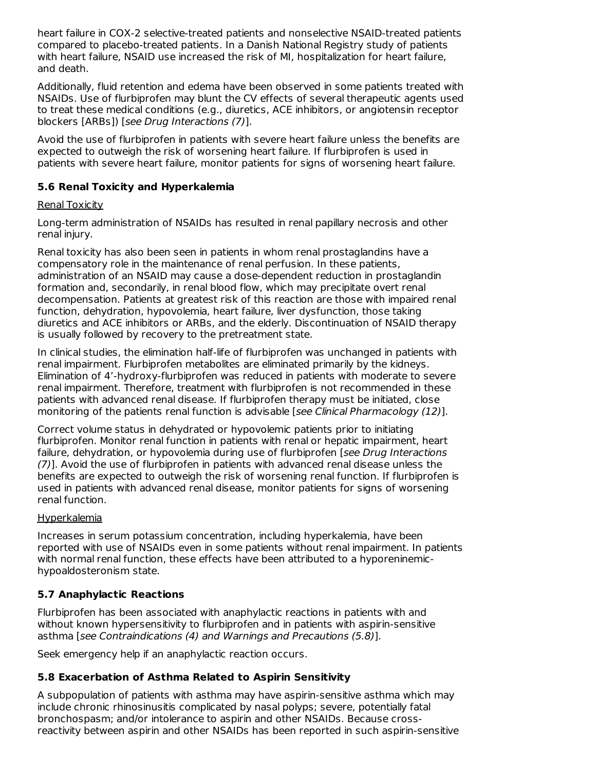heart failure in COX-2 selective-treated patients and nonselective NSAID-treated patients compared to placebo-treated patients. In a Danish National Registry study of patients with heart failure, NSAID use increased the risk of MI, hospitalization for heart failure, and death.

Additionally, fluid retention and edema have been observed in some patients treated with NSAIDs. Use of flurbiprofen may blunt the CV effects of several therapeutic agents used to treat these medical conditions (e.g., diuretics, ACE inhibitors, or angiotensin receptor blockers [ARBs]) [see Drug Interactions (7)].

Avoid the use of flurbiprofen in patients with severe heart failure unless the benefits are expected to outweigh the risk of worsening heart failure. If flurbiprofen is used in patients with severe heart failure, monitor patients for signs of worsening heart failure.

# **5.6 Renal Toxicity and Hyperkalemia**

# Renal Toxicity

Long-term administration of NSAIDs has resulted in renal papillary necrosis and other renal injury.

Renal toxicity has also been seen in patients in whom renal prostaglandins have a compensatory role in the maintenance of renal perfusion. In these patients, administration of an NSAID may cause a dose-dependent reduction in prostaglandin formation and, secondarily, in renal blood flow, which may precipitate overt renal decompensation. Patients at greatest risk of this reaction are those with impaired renal function, dehydration, hypovolemia, heart failure, liver dysfunction, those taking diuretics and ACE inhibitors or ARBs, and the elderly. Discontinuation of NSAID therapy is usually followed by recovery to the pretreatment state.

In clinical studies, the elimination half-life of flurbiprofen was unchanged in patients with renal impairment. Flurbiprofen metabolites are eliminated primarily by the kidneys. Elimination of 4'-hydroxy-flurbiprofen was reduced in patients with moderate to severe renal impairment. Therefore, treatment with flurbiprofen is not recommended in these patients with advanced renal disease. If flurbiprofen therapy must be initiated, close monitoring of the patients renal function is advisable [see Clinical Pharmacology (12)].

Correct volume status in dehydrated or hypovolemic patients prior to initiating flurbiprofen. Monitor renal function in patients with renal or hepatic impairment, heart failure, dehydration, or hypovolemia during use of flurbiprofen [see Drug Interactions] (7)]. Avoid the use of flurbiprofen in patients with advanced renal disease unless the benefits are expected to outweigh the risk of worsening renal function. If flurbiprofen is used in patients with advanced renal disease, monitor patients for signs of worsening renal function.

# Hyperkalemia

Increases in serum potassium concentration, including hyperkalemia, have been reported with use of NSAIDs even in some patients without renal impairment. In patients with normal renal function, these effects have been attributed to a hyporeninemichypoaldosteronism state.

# **5.7 Anaphylactic Reactions**

Flurbiprofen has been associated with anaphylactic reactions in patients with and without known hypersensitivity to flurbiprofen and in patients with aspirin-sensitive asthma [see Contraindications (4) and Warnings and Precautions (5.8)].

Seek emergency help if an anaphylactic reaction occurs.

# **5.8 Exacerbation of Asthma Related to Aspirin Sensitivity**

A subpopulation of patients with asthma may have aspirin-sensitive asthma which may include chronic rhinosinusitis complicated by nasal polyps; severe, potentially fatal bronchospasm; and/or intolerance to aspirin and other NSAIDs. Because crossreactivity between aspirin and other NSAIDs has been reported in such aspirin-sensitive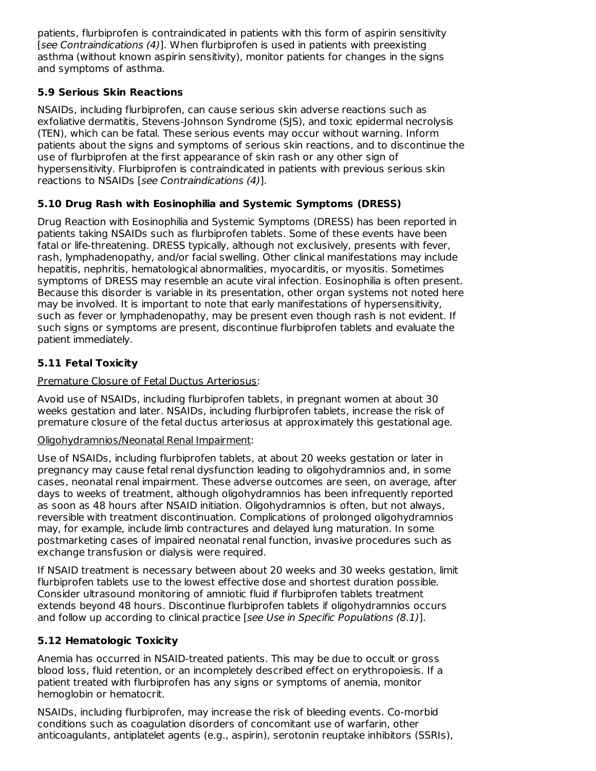patients, flurbiprofen is contraindicated in patients with this form of aspirin sensitivity [see Contraindications (4)]. When flurbiprofen is used in patients with preexisting asthma (without known aspirin sensitivity), monitor patients for changes in the signs and symptoms of asthma.

# **5.9 Serious Skin Reactions**

NSAIDs, including flurbiprofen, can cause serious skin adverse reactions such as exfoliative dermatitis, Stevens-Johnson Syndrome (SJS), and toxic epidermal necrolysis (TEN), which can be fatal. These serious events may occur without warning. Inform patients about the signs and symptoms of serious skin reactions, and to discontinue the use of flurbiprofen at the first appearance of skin rash or any other sign of hypersensitivity. Flurbiprofen is contraindicated in patients with previous serious skin reactions to NSAIDs [see Contraindications (4)].

# **5.10 Drug Rash with Eosinophilia and Systemic Symptoms (DRESS)**

Drug Reaction with Eosinophilia and Systemic Symptoms (DRESS) has been reported in patients taking NSAIDs such as flurbiprofen tablets. Some of these events have been fatal or life-threatening. DRESS typically, although not exclusively, presents with fever, rash, lymphadenopathy, and/or facial swelling. Other clinical manifestations may include hepatitis, nephritis, hematological abnormalities, myocarditis, or myositis. Sometimes symptoms of DRESS may resemble an acute viral infection. Eosinophilia is often present. Because this disorder is variable in its presentation, other organ systems not noted here may be involved. It is important to note that early manifestations of hypersensitivity, such as fever or lymphadenopathy, may be present even though rash is not evident. If such signs or symptoms are present, discontinue flurbiprofen tablets and evaluate the patient immediately.

# **5.11 Fetal Toxicity**

# Premature Closure of Fetal Ductus Arteriosus:

Avoid use of NSAIDs, including flurbiprofen tablets, in pregnant women at about 30 weeks gestation and later. NSAIDs, including flurbiprofen tablets, increase the risk of premature closure of the fetal ductus arteriosus at approximately this gestational age.

# Oligohydramnios/Neonatal Renal Impairment:

Use of NSAIDs, including flurbiprofen tablets, at about 20 weeks gestation or later in pregnancy may cause fetal renal dysfunction leading to oligohydramnios and, in some cases, neonatal renal impairment. These adverse outcomes are seen, on average, after days to weeks of treatment, although oligohydramnios has been infrequently reported as soon as 48 hours after NSAID initiation. Oligohydramnios is often, but not always, reversible with treatment discontinuation. Complications of prolonged oligohydramnios may, for example, include limb contractures and delayed lung maturation. In some postmarketing cases of impaired neonatal renal function, invasive procedures such as exchange transfusion or dialysis were required.

If NSAID treatment is necessary between about 20 weeks and 30 weeks gestation, limit flurbiprofen tablets use to the lowest effective dose and shortest duration possible. Consider ultrasound monitoring of amniotic fluid if flurbiprofen tablets treatment extends beyond 48 hours. Discontinue flurbiprofen tablets if oligohydramnios occurs and follow up according to clinical practice [see Use in Specific Populations (8.1)].

# **5.12 Hematologic Toxicity**

Anemia has occurred in NSAID-treated patients. This may be due to occult or gross blood loss, fluid retention, or an incompletely described effect on erythropoiesis. If a patient treated with flurbiprofen has any signs or symptoms of anemia, monitor hemoglobin or hematocrit.

NSAIDs, including flurbiprofen, may increase the risk of bleeding events. Co-morbid conditions such as coagulation disorders of concomitant use of warfarin, other anticoagulants, antiplatelet agents (e.g., aspirin), serotonin reuptake inhibitors (SSRIs),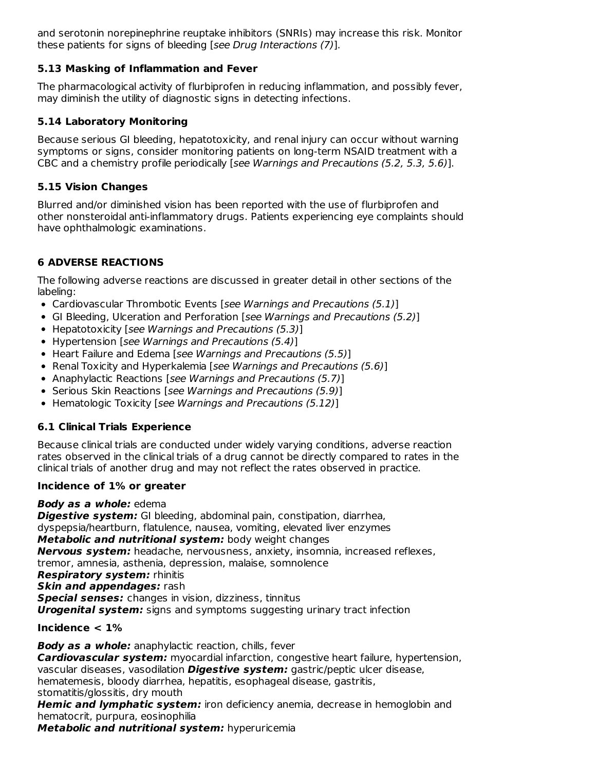and serotonin norepinephrine reuptake inhibitors (SNRIs) may increase this risk. Monitor these patients for signs of bleeding [see Drug Interactions (7)].

# **5.13 Masking of Inflammation and Fever**

The pharmacological activity of flurbiprofen in reducing inflammation, and possibly fever, may diminish the utility of diagnostic signs in detecting infections.

# **5.14 Laboratory Monitoring**

Because serious GI bleeding, hepatotoxicity, and renal injury can occur without warning symptoms or signs, consider monitoring patients on long-term NSAID treatment with a CBC and a chemistry profile periodically [see Warnings and Precautions (5.2, 5.3, 5.6)].

# **5.15 Vision Changes**

Blurred and/or diminished vision has been reported with the use of flurbiprofen and other nonsteroidal anti-inflammatory drugs. Patients experiencing eye complaints should have ophthalmologic examinations.

# **6 ADVERSE REACTIONS**

The following adverse reactions are discussed in greater detail in other sections of the labeling:

- Cardiovascular Thrombotic Events [see Warnings and Precautions (5.1)]
- GI Bleeding, Ulceration and Perforation [see Warnings and Precautions (5.2)]
- Hepatotoxicity [see Warnings and Precautions (5.3)]
- Hypertension [see Warnings and Precautions (5.4)]
- Heart Failure and Edema [see Warnings and Precautions (5.5)]
- Renal Toxicity and Hyperkalemia [see Warnings and Precautions (5.6)]
- Anaphylactic Reactions [see Warnings and Precautions (5.7)]
- Serious Skin Reactions [see Warnings and Precautions (5.9)]
- Hematologic Toxicity [see Warnings and Precautions (5.12)]

# **6.1 Clinical Trials Experience**

Because clinical trials are conducted under widely varying conditions, adverse reaction rates observed in the clinical trials of a drug cannot be directly compared to rates in the clinical trials of another drug and may not reflect the rates observed in practice.

# **Incidence of 1% or greater**

# **Body as a whole:** edema

**Digestive system:** GI bleeding, abdominal pain, constipation, diarrhea, dyspepsia/heartburn, flatulence, nausea, vomiting, elevated liver enzymes **Metabolic and nutritional system:** body weight changes **Nervous system:** headache, nervousness, anxiety, insomnia, increased reflexes, tremor, amnesia, asthenia, depression, malaise, somnolence **Respiratory system:** rhinitis **Skin and appendages:** rash **Special senses:** changes in vision, dizziness, tinnitus **Urogenital system:** signs and symptoms suggesting urinary tract infection

# **Incidence < 1%**

**Body as a whole:** anaphylactic reaction, chills, fever **Cardiovascular system:** myocardial infarction, congestive heart failure, hypertension, vascular diseases, vasodilation **Digestive system:** gastric/peptic ulcer disease,

hematemesis, bloody diarrhea, hepatitis, esophageal disease, gastritis,

stomatitis/glossitis, dry mouth

**Hemic and lymphatic system:** iron deficiency anemia, decrease in hemoglobin and hematocrit, purpura, eosinophilia

**Metabolic and nutritional system:** hyperuricemia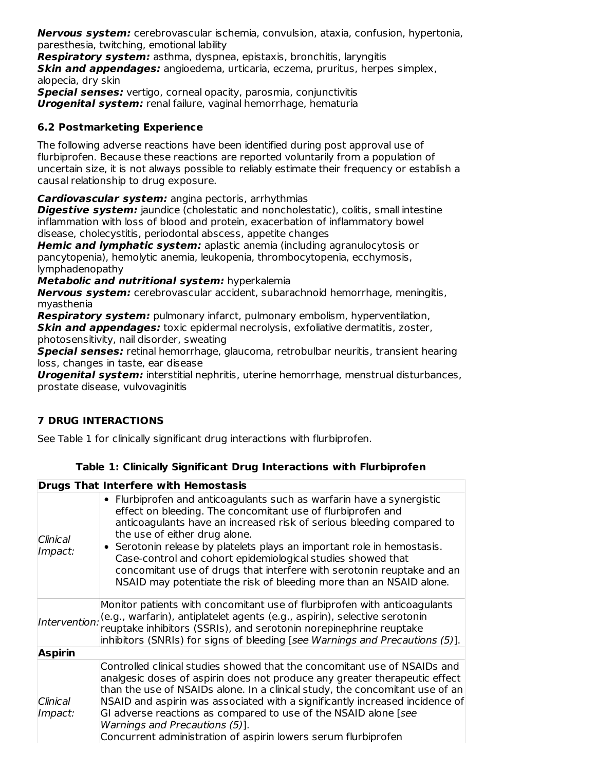**Nervous system:** cerebrovascular ischemia, convulsion, ataxia, confusion, hypertonia, paresthesia, twitching, emotional lability

**Respiratory system:** asthma, dyspnea, epistaxis, bronchitis, laryngitis

**Skin and appendages:** angioedema, urticaria, eczema, pruritus, herpes simplex, alopecia, dry skin

**Special senses:** vertigo, corneal opacity, parosmia, conjunctivitis **Urogenital system:** renal failure, vaginal hemorrhage, hematuria

# **6.2 Postmarketing Experience**

The following adverse reactions have been identified during post approval use of flurbiprofen. Because these reactions are reported voluntarily from a population of uncertain size, it is not always possible to reliably estimate their frequency or establish a causal relationship to drug exposure.

**Cardiovascular system:** angina pectoris, arrhythmias

**Digestive system:** jaundice (cholestatic and noncholestatic), colitis, small intestine inflammation with loss of blood and protein, exacerbation of inflammatory bowel disease, cholecystitis, periodontal abscess, appetite changes

**Hemic and lymphatic system:** aplastic anemia (including agranulocytosis or pancytopenia), hemolytic anemia, leukopenia, thrombocytopenia, ecchymosis, lymphadenopathy

**Metabolic and nutritional system:** hyperkalemia

**Nervous system:** cerebrovascular accident, subarachnoid hemorrhage, meningitis, myasthenia

**Respiratory system:** pulmonary infarct, pulmonary embolism, hyperventilation, **Skin and appendages:** toxic epidermal necrolysis, exfoliative dermatitis, zoster, photosensitivity, nail disorder, sweating

**Special senses:** retinal hemorrhage, glaucoma, retrobulbar neuritis, transient hearing loss, changes in taste, ear disease

**Urogenital system:** interstitial nephritis, uterine hemorrhage, menstrual disturbances, prostate disease, vulvovaginitis

# **7 DRUG INTERACTIONS**

See Table 1 for clinically significant drug interactions with flurbiprofen.

| Table 1: Clinically Significant Drug Interactions with Flurbiprofen |  |  |
|---------------------------------------------------------------------|--|--|
|---------------------------------------------------------------------|--|--|

|                     | <b>Drugs That Interfere with Hemostasis</b>                                                                                                                                                                                                                                                                                                                                                                                                                                                                                             |
|---------------------|-----------------------------------------------------------------------------------------------------------------------------------------------------------------------------------------------------------------------------------------------------------------------------------------------------------------------------------------------------------------------------------------------------------------------------------------------------------------------------------------------------------------------------------------|
| Clinical<br>Impact: | • Flurbiprofen and anticoagulants such as warfarin have a synergistic<br>effect on bleeding. The concomitant use of flurbiprofen and<br>anticoagulants have an increased risk of serious bleeding compared to<br>the use of either drug alone.<br>Serotonin release by platelets plays an important role in hemostasis.<br>Case-control and cohort epidemiological studies showed that<br>concomitant use of drugs that interfere with serotonin reuptake and an<br>NSAID may potentiate the risk of bleeding more than an NSAID alone. |
| Intervention:       | Monitor patients with concomitant use of flurbiprofen with anticoagulants<br>(e.g., warfarin), antiplatelet agents (e.g., aspirin), selective serotonin<br>reuptake inhibitors (SSRIs), and serotonin norepinephrine reuptake<br>inhibitors (SNRIs) for signs of bleeding [see Warnings and Precautions (5)].                                                                                                                                                                                                                           |
| <b>Aspirin</b>      |                                                                                                                                                                                                                                                                                                                                                                                                                                                                                                                                         |
| Clinical<br>Impact: | Controlled clinical studies showed that the concomitant use of NSAIDs and<br>analgesic doses of aspirin does not produce any greater therapeutic effect<br>than the use of NSAIDs alone. In a clinical study, the concomitant use of an<br>NSAID and aspirin was associated with a significantly increased incidence of<br>GI adverse reactions as compared to use of the NSAID alone [see<br>Warnings and Precautions (5)].<br>Concurrent administration of aspirin lowers serum flurbiprofen                                          |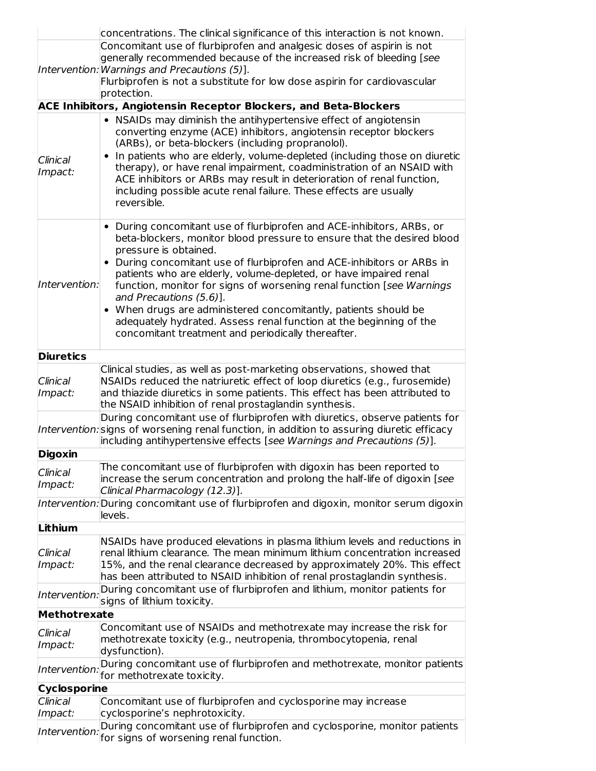| Concomitant use of flurbiprofen and analgesic doses of aspirin is not<br>generally recommended because of the increased risk of bleeding [see<br>Intervention: Warnings and Precautions (5)].<br>Flurbiprofen is not a substitute for low dose aspirin for cardiovascular<br>protection.<br><b>ACE Inhibitors, Angiotensin Receptor Blockers, and Beta-Blockers</b><br>• NSAIDs may diminish the antihypertensive effect of angiotensin<br>converting enzyme (ACE) inhibitors, angiotensin receptor blockers<br>(ARBs), or beta-blockers (including propranolol).<br>• In patients who are elderly, volume-depleted (including those on diuretic<br>therapy), or have renal impairment, coadministration of an NSAID with<br>Impact:<br>ACE inhibitors or ARBs may result in deterioration of renal function,<br>including possible acute renal failure. These effects are usually<br>reversible.<br>• During concomitant use of flurbiprofen and ACE-inhibitors, ARBs, or<br>beta-blockers, monitor blood pressure to ensure that the desired blood<br>pressure is obtained.<br>• During concomitant use of flurbiprofen and ACE-inhibitors or ARBs in<br>patients who are elderly, volume-depleted, or have impaired renal<br>Intervention:<br>function, monitor for signs of worsening renal function [see Warnings<br>and Precautions (5.6)].<br>• When drugs are administered concomitantly, patients should be<br>adequately hydrated. Assess renal function at the beginning of the<br>concomitant treatment and periodically thereafter.<br><b>Diuretics</b><br>Clinical studies, as well as post-marketing observations, showed that<br>NSAIDs reduced the natriuretic effect of loop diuretics (e.g., furosemide)<br>Clinical<br>and thiazide diuretics in some patients. This effect has been attributed to<br>Impact:<br>the NSAID inhibition of renal prostaglandin synthesis.<br>During concomitant use of flurbiprofen with diuretics, observe patients for<br>Intervention: signs of worsening renal function, in addition to assuring diuretic efficacy<br>including antihypertensive effects [see Warnings and Precautions (5)].<br><b>Digoxin</b><br>The concomitant use of flurbiprofen with digoxin has been reported to<br>Clinical<br>increase the serum concentration and prolong the half-life of digoxin [see<br>Impact:<br>Clinical Pharmacology (12.3)].<br>Intervention: During concomitant use of flurbiprofen and digoxin, monitor serum digoxin<br>levels.<br>Lithium<br>NSAIDs have produced elevations in plasma lithium levels and reductions in<br>renal lithium clearance. The mean minimum lithium concentration increased<br>Clinical<br>15%, and the renal clearance decreased by approximately 20%. This effect<br>has been attributed to NSAID inhibition of renal prostaglandin synthesis.<br>During concomitant use of flurbiprofen and lithium, monitor patients for<br>signs of lithium toxicity.<br><b>Methotrexate</b><br>Concomitant use of NSAIDs and methotrexate may increase the risk for<br>Clinical<br>methotrexate toxicity (e.g., neutropenia, thrombocytopenia, renal<br>Impact:<br>dysfunction).<br>During concomitant use of flurbiprofen and methotrexate, monitor patients<br>Intervention:<br>for methotrexate toxicity.<br><b>Cyclosporine</b><br>Clinical<br>Concomitant use of flurbiprofen and cyclosporine may increase<br>cyclosporine's nephrotoxicity.<br>Impact:<br>During concomitant use of flurbiprofen and cyclosporine, monitor patients<br>Intervention:<br>for signs of worsening renal function. |               | concentrations. The clinical significance of this interaction is not known. |  |  |  |  |
|----------------------------------------------------------------------------------------------------------------------------------------------------------------------------------------------------------------------------------------------------------------------------------------------------------------------------------------------------------------------------------------------------------------------------------------------------------------------------------------------------------------------------------------------------------------------------------------------------------------------------------------------------------------------------------------------------------------------------------------------------------------------------------------------------------------------------------------------------------------------------------------------------------------------------------------------------------------------------------------------------------------------------------------------------------------------------------------------------------------------------------------------------------------------------------------------------------------------------------------------------------------------------------------------------------------------------------------------------------------------------------------------------------------------------------------------------------------------------------------------------------------------------------------------------------------------------------------------------------------------------------------------------------------------------------------------------------------------------------------------------------------------------------------------------------------------------------------------------------------------------------------------------------------------------------------------------------------------------------------------------------------------------------------------------------------------------------------------------------------------------------------------------------------------------------------------------------------------------------------------------------------------------------------------------------------------------------------------------------------------------------------------------------------------------------------------------------------------------------------------------------------------------------------------------------------------------------------------------------------------------------------------------------------------------------------------------------------------------------------------------------------------------------------------------------------------------------------------------------------------------------------------------------------------------------------------------------------------------------------------------------------------------------------------------------------------------------------------------------------------------------------------------------------------------------------------------------------------------------------------------------------------------------------------------------------------------------------------------------------------------------------------------------------------------------------------------------------------------------------------------------------------------------------------------------------------------------|---------------|-----------------------------------------------------------------------------|--|--|--|--|
|                                                                                                                                                                                                                                                                                                                                                                                                                                                                                                                                                                                                                                                                                                                                                                                                                                                                                                                                                                                                                                                                                                                                                                                                                                                                                                                                                                                                                                                                                                                                                                                                                                                                                                                                                                                                                                                                                                                                                                                                                                                                                                                                                                                                                                                                                                                                                                                                                                                                                                                                                                                                                                                                                                                                                                                                                                                                                                                                                                                                                                                                                                                                                                                                                                                                                                                                                                                                                                                                                                                                                                                  |               |                                                                             |  |  |  |  |
|                                                                                                                                                                                                                                                                                                                                                                                                                                                                                                                                                                                                                                                                                                                                                                                                                                                                                                                                                                                                                                                                                                                                                                                                                                                                                                                                                                                                                                                                                                                                                                                                                                                                                                                                                                                                                                                                                                                                                                                                                                                                                                                                                                                                                                                                                                                                                                                                                                                                                                                                                                                                                                                                                                                                                                                                                                                                                                                                                                                                                                                                                                                                                                                                                                                                                                                                                                                                                                                                                                                                                                                  |               |                                                                             |  |  |  |  |
|                                                                                                                                                                                                                                                                                                                                                                                                                                                                                                                                                                                                                                                                                                                                                                                                                                                                                                                                                                                                                                                                                                                                                                                                                                                                                                                                                                                                                                                                                                                                                                                                                                                                                                                                                                                                                                                                                                                                                                                                                                                                                                                                                                                                                                                                                                                                                                                                                                                                                                                                                                                                                                                                                                                                                                                                                                                                                                                                                                                                                                                                                                                                                                                                                                                                                                                                                                                                                                                                                                                                                                                  |               |                                                                             |  |  |  |  |
|                                                                                                                                                                                                                                                                                                                                                                                                                                                                                                                                                                                                                                                                                                                                                                                                                                                                                                                                                                                                                                                                                                                                                                                                                                                                                                                                                                                                                                                                                                                                                                                                                                                                                                                                                                                                                                                                                                                                                                                                                                                                                                                                                                                                                                                                                                                                                                                                                                                                                                                                                                                                                                                                                                                                                                                                                                                                                                                                                                                                                                                                                                                                                                                                                                                                                                                                                                                                                                                                                                                                                                                  |               |                                                                             |  |  |  |  |
|                                                                                                                                                                                                                                                                                                                                                                                                                                                                                                                                                                                                                                                                                                                                                                                                                                                                                                                                                                                                                                                                                                                                                                                                                                                                                                                                                                                                                                                                                                                                                                                                                                                                                                                                                                                                                                                                                                                                                                                                                                                                                                                                                                                                                                                                                                                                                                                                                                                                                                                                                                                                                                                                                                                                                                                                                                                                                                                                                                                                                                                                                                                                                                                                                                                                                                                                                                                                                                                                                                                                                                                  |               |                                                                             |  |  |  |  |
|                                                                                                                                                                                                                                                                                                                                                                                                                                                                                                                                                                                                                                                                                                                                                                                                                                                                                                                                                                                                                                                                                                                                                                                                                                                                                                                                                                                                                                                                                                                                                                                                                                                                                                                                                                                                                                                                                                                                                                                                                                                                                                                                                                                                                                                                                                                                                                                                                                                                                                                                                                                                                                                                                                                                                                                                                                                                                                                                                                                                                                                                                                                                                                                                                                                                                                                                                                                                                                                                                                                                                                                  |               |                                                                             |  |  |  |  |
|                                                                                                                                                                                                                                                                                                                                                                                                                                                                                                                                                                                                                                                                                                                                                                                                                                                                                                                                                                                                                                                                                                                                                                                                                                                                                                                                                                                                                                                                                                                                                                                                                                                                                                                                                                                                                                                                                                                                                                                                                                                                                                                                                                                                                                                                                                                                                                                                                                                                                                                                                                                                                                                                                                                                                                                                                                                                                                                                                                                                                                                                                                                                                                                                                                                                                                                                                                                                                                                                                                                                                                                  |               |                                                                             |  |  |  |  |
|                                                                                                                                                                                                                                                                                                                                                                                                                                                                                                                                                                                                                                                                                                                                                                                                                                                                                                                                                                                                                                                                                                                                                                                                                                                                                                                                                                                                                                                                                                                                                                                                                                                                                                                                                                                                                                                                                                                                                                                                                                                                                                                                                                                                                                                                                                                                                                                                                                                                                                                                                                                                                                                                                                                                                                                                                                                                                                                                                                                                                                                                                                                                                                                                                                                                                                                                                                                                                                                                                                                                                                                  |               |                                                                             |  |  |  |  |
|                                                                                                                                                                                                                                                                                                                                                                                                                                                                                                                                                                                                                                                                                                                                                                                                                                                                                                                                                                                                                                                                                                                                                                                                                                                                                                                                                                                                                                                                                                                                                                                                                                                                                                                                                                                                                                                                                                                                                                                                                                                                                                                                                                                                                                                                                                                                                                                                                                                                                                                                                                                                                                                                                                                                                                                                                                                                                                                                                                                                                                                                                                                                                                                                                                                                                                                                                                                                                                                                                                                                                                                  | Clinical      |                                                                             |  |  |  |  |
|                                                                                                                                                                                                                                                                                                                                                                                                                                                                                                                                                                                                                                                                                                                                                                                                                                                                                                                                                                                                                                                                                                                                                                                                                                                                                                                                                                                                                                                                                                                                                                                                                                                                                                                                                                                                                                                                                                                                                                                                                                                                                                                                                                                                                                                                                                                                                                                                                                                                                                                                                                                                                                                                                                                                                                                                                                                                                                                                                                                                                                                                                                                                                                                                                                                                                                                                                                                                                                                                                                                                                                                  |               |                                                                             |  |  |  |  |
|                                                                                                                                                                                                                                                                                                                                                                                                                                                                                                                                                                                                                                                                                                                                                                                                                                                                                                                                                                                                                                                                                                                                                                                                                                                                                                                                                                                                                                                                                                                                                                                                                                                                                                                                                                                                                                                                                                                                                                                                                                                                                                                                                                                                                                                                                                                                                                                                                                                                                                                                                                                                                                                                                                                                                                                                                                                                                                                                                                                                                                                                                                                                                                                                                                                                                                                                                                                                                                                                                                                                                                                  |               |                                                                             |  |  |  |  |
|                                                                                                                                                                                                                                                                                                                                                                                                                                                                                                                                                                                                                                                                                                                                                                                                                                                                                                                                                                                                                                                                                                                                                                                                                                                                                                                                                                                                                                                                                                                                                                                                                                                                                                                                                                                                                                                                                                                                                                                                                                                                                                                                                                                                                                                                                                                                                                                                                                                                                                                                                                                                                                                                                                                                                                                                                                                                                                                                                                                                                                                                                                                                                                                                                                                                                                                                                                                                                                                                                                                                                                                  |               |                                                                             |  |  |  |  |
|                                                                                                                                                                                                                                                                                                                                                                                                                                                                                                                                                                                                                                                                                                                                                                                                                                                                                                                                                                                                                                                                                                                                                                                                                                                                                                                                                                                                                                                                                                                                                                                                                                                                                                                                                                                                                                                                                                                                                                                                                                                                                                                                                                                                                                                                                                                                                                                                                                                                                                                                                                                                                                                                                                                                                                                                                                                                                                                                                                                                                                                                                                                                                                                                                                                                                                                                                                                                                                                                                                                                                                                  |               |                                                                             |  |  |  |  |
|                                                                                                                                                                                                                                                                                                                                                                                                                                                                                                                                                                                                                                                                                                                                                                                                                                                                                                                                                                                                                                                                                                                                                                                                                                                                                                                                                                                                                                                                                                                                                                                                                                                                                                                                                                                                                                                                                                                                                                                                                                                                                                                                                                                                                                                                                                                                                                                                                                                                                                                                                                                                                                                                                                                                                                                                                                                                                                                                                                                                                                                                                                                                                                                                                                                                                                                                                                                                                                                                                                                                                                                  |               |                                                                             |  |  |  |  |
|                                                                                                                                                                                                                                                                                                                                                                                                                                                                                                                                                                                                                                                                                                                                                                                                                                                                                                                                                                                                                                                                                                                                                                                                                                                                                                                                                                                                                                                                                                                                                                                                                                                                                                                                                                                                                                                                                                                                                                                                                                                                                                                                                                                                                                                                                                                                                                                                                                                                                                                                                                                                                                                                                                                                                                                                                                                                                                                                                                                                                                                                                                                                                                                                                                                                                                                                                                                                                                                                                                                                                                                  |               |                                                                             |  |  |  |  |
|                                                                                                                                                                                                                                                                                                                                                                                                                                                                                                                                                                                                                                                                                                                                                                                                                                                                                                                                                                                                                                                                                                                                                                                                                                                                                                                                                                                                                                                                                                                                                                                                                                                                                                                                                                                                                                                                                                                                                                                                                                                                                                                                                                                                                                                                                                                                                                                                                                                                                                                                                                                                                                                                                                                                                                                                                                                                                                                                                                                                                                                                                                                                                                                                                                                                                                                                                                                                                                                                                                                                                                                  |               |                                                                             |  |  |  |  |
|                                                                                                                                                                                                                                                                                                                                                                                                                                                                                                                                                                                                                                                                                                                                                                                                                                                                                                                                                                                                                                                                                                                                                                                                                                                                                                                                                                                                                                                                                                                                                                                                                                                                                                                                                                                                                                                                                                                                                                                                                                                                                                                                                                                                                                                                                                                                                                                                                                                                                                                                                                                                                                                                                                                                                                                                                                                                                                                                                                                                                                                                                                                                                                                                                                                                                                                                                                                                                                                                                                                                                                                  |               |                                                                             |  |  |  |  |
|                                                                                                                                                                                                                                                                                                                                                                                                                                                                                                                                                                                                                                                                                                                                                                                                                                                                                                                                                                                                                                                                                                                                                                                                                                                                                                                                                                                                                                                                                                                                                                                                                                                                                                                                                                                                                                                                                                                                                                                                                                                                                                                                                                                                                                                                                                                                                                                                                                                                                                                                                                                                                                                                                                                                                                                                                                                                                                                                                                                                                                                                                                                                                                                                                                                                                                                                                                                                                                                                                                                                                                                  |               |                                                                             |  |  |  |  |
|                                                                                                                                                                                                                                                                                                                                                                                                                                                                                                                                                                                                                                                                                                                                                                                                                                                                                                                                                                                                                                                                                                                                                                                                                                                                                                                                                                                                                                                                                                                                                                                                                                                                                                                                                                                                                                                                                                                                                                                                                                                                                                                                                                                                                                                                                                                                                                                                                                                                                                                                                                                                                                                                                                                                                                                                                                                                                                                                                                                                                                                                                                                                                                                                                                                                                                                                                                                                                                                                                                                                                                                  |               |                                                                             |  |  |  |  |
|                                                                                                                                                                                                                                                                                                                                                                                                                                                                                                                                                                                                                                                                                                                                                                                                                                                                                                                                                                                                                                                                                                                                                                                                                                                                                                                                                                                                                                                                                                                                                                                                                                                                                                                                                                                                                                                                                                                                                                                                                                                                                                                                                                                                                                                                                                                                                                                                                                                                                                                                                                                                                                                                                                                                                                                                                                                                                                                                                                                                                                                                                                                                                                                                                                                                                                                                                                                                                                                                                                                                                                                  |               |                                                                             |  |  |  |  |
|                                                                                                                                                                                                                                                                                                                                                                                                                                                                                                                                                                                                                                                                                                                                                                                                                                                                                                                                                                                                                                                                                                                                                                                                                                                                                                                                                                                                                                                                                                                                                                                                                                                                                                                                                                                                                                                                                                                                                                                                                                                                                                                                                                                                                                                                                                                                                                                                                                                                                                                                                                                                                                                                                                                                                                                                                                                                                                                                                                                                                                                                                                                                                                                                                                                                                                                                                                                                                                                                                                                                                                                  |               |                                                                             |  |  |  |  |
|                                                                                                                                                                                                                                                                                                                                                                                                                                                                                                                                                                                                                                                                                                                                                                                                                                                                                                                                                                                                                                                                                                                                                                                                                                                                                                                                                                                                                                                                                                                                                                                                                                                                                                                                                                                                                                                                                                                                                                                                                                                                                                                                                                                                                                                                                                                                                                                                                                                                                                                                                                                                                                                                                                                                                                                                                                                                                                                                                                                                                                                                                                                                                                                                                                                                                                                                                                                                                                                                                                                                                                                  |               |                                                                             |  |  |  |  |
|                                                                                                                                                                                                                                                                                                                                                                                                                                                                                                                                                                                                                                                                                                                                                                                                                                                                                                                                                                                                                                                                                                                                                                                                                                                                                                                                                                                                                                                                                                                                                                                                                                                                                                                                                                                                                                                                                                                                                                                                                                                                                                                                                                                                                                                                                                                                                                                                                                                                                                                                                                                                                                                                                                                                                                                                                                                                                                                                                                                                                                                                                                                                                                                                                                                                                                                                                                                                                                                                                                                                                                                  |               |                                                                             |  |  |  |  |
|                                                                                                                                                                                                                                                                                                                                                                                                                                                                                                                                                                                                                                                                                                                                                                                                                                                                                                                                                                                                                                                                                                                                                                                                                                                                                                                                                                                                                                                                                                                                                                                                                                                                                                                                                                                                                                                                                                                                                                                                                                                                                                                                                                                                                                                                                                                                                                                                                                                                                                                                                                                                                                                                                                                                                                                                                                                                                                                                                                                                                                                                                                                                                                                                                                                                                                                                                                                                                                                                                                                                                                                  |               |                                                                             |  |  |  |  |
|                                                                                                                                                                                                                                                                                                                                                                                                                                                                                                                                                                                                                                                                                                                                                                                                                                                                                                                                                                                                                                                                                                                                                                                                                                                                                                                                                                                                                                                                                                                                                                                                                                                                                                                                                                                                                                                                                                                                                                                                                                                                                                                                                                                                                                                                                                                                                                                                                                                                                                                                                                                                                                                                                                                                                                                                                                                                                                                                                                                                                                                                                                                                                                                                                                                                                                                                                                                                                                                                                                                                                                                  |               |                                                                             |  |  |  |  |
|                                                                                                                                                                                                                                                                                                                                                                                                                                                                                                                                                                                                                                                                                                                                                                                                                                                                                                                                                                                                                                                                                                                                                                                                                                                                                                                                                                                                                                                                                                                                                                                                                                                                                                                                                                                                                                                                                                                                                                                                                                                                                                                                                                                                                                                                                                                                                                                                                                                                                                                                                                                                                                                                                                                                                                                                                                                                                                                                                                                                                                                                                                                                                                                                                                                                                                                                                                                                                                                                                                                                                                                  |               |                                                                             |  |  |  |  |
|                                                                                                                                                                                                                                                                                                                                                                                                                                                                                                                                                                                                                                                                                                                                                                                                                                                                                                                                                                                                                                                                                                                                                                                                                                                                                                                                                                                                                                                                                                                                                                                                                                                                                                                                                                                                                                                                                                                                                                                                                                                                                                                                                                                                                                                                                                                                                                                                                                                                                                                                                                                                                                                                                                                                                                                                                                                                                                                                                                                                                                                                                                                                                                                                                                                                                                                                                                                                                                                                                                                                                                                  |               |                                                                             |  |  |  |  |
|                                                                                                                                                                                                                                                                                                                                                                                                                                                                                                                                                                                                                                                                                                                                                                                                                                                                                                                                                                                                                                                                                                                                                                                                                                                                                                                                                                                                                                                                                                                                                                                                                                                                                                                                                                                                                                                                                                                                                                                                                                                                                                                                                                                                                                                                                                                                                                                                                                                                                                                                                                                                                                                                                                                                                                                                                                                                                                                                                                                                                                                                                                                                                                                                                                                                                                                                                                                                                                                                                                                                                                                  |               |                                                                             |  |  |  |  |
|                                                                                                                                                                                                                                                                                                                                                                                                                                                                                                                                                                                                                                                                                                                                                                                                                                                                                                                                                                                                                                                                                                                                                                                                                                                                                                                                                                                                                                                                                                                                                                                                                                                                                                                                                                                                                                                                                                                                                                                                                                                                                                                                                                                                                                                                                                                                                                                                                                                                                                                                                                                                                                                                                                                                                                                                                                                                                                                                                                                                                                                                                                                                                                                                                                                                                                                                                                                                                                                                                                                                                                                  |               |                                                                             |  |  |  |  |
|                                                                                                                                                                                                                                                                                                                                                                                                                                                                                                                                                                                                                                                                                                                                                                                                                                                                                                                                                                                                                                                                                                                                                                                                                                                                                                                                                                                                                                                                                                                                                                                                                                                                                                                                                                                                                                                                                                                                                                                                                                                                                                                                                                                                                                                                                                                                                                                                                                                                                                                                                                                                                                                                                                                                                                                                                                                                                                                                                                                                                                                                                                                                                                                                                                                                                                                                                                                                                                                                                                                                                                                  |               |                                                                             |  |  |  |  |
|                                                                                                                                                                                                                                                                                                                                                                                                                                                                                                                                                                                                                                                                                                                                                                                                                                                                                                                                                                                                                                                                                                                                                                                                                                                                                                                                                                                                                                                                                                                                                                                                                                                                                                                                                                                                                                                                                                                                                                                                                                                                                                                                                                                                                                                                                                                                                                                                                                                                                                                                                                                                                                                                                                                                                                                                                                                                                                                                                                                                                                                                                                                                                                                                                                                                                                                                                                                                                                                                                                                                                                                  |               |                                                                             |  |  |  |  |
|                                                                                                                                                                                                                                                                                                                                                                                                                                                                                                                                                                                                                                                                                                                                                                                                                                                                                                                                                                                                                                                                                                                                                                                                                                                                                                                                                                                                                                                                                                                                                                                                                                                                                                                                                                                                                                                                                                                                                                                                                                                                                                                                                                                                                                                                                                                                                                                                                                                                                                                                                                                                                                                                                                                                                                                                                                                                                                                                                                                                                                                                                                                                                                                                                                                                                                                                                                                                                                                                                                                                                                                  |               |                                                                             |  |  |  |  |
|                                                                                                                                                                                                                                                                                                                                                                                                                                                                                                                                                                                                                                                                                                                                                                                                                                                                                                                                                                                                                                                                                                                                                                                                                                                                                                                                                                                                                                                                                                                                                                                                                                                                                                                                                                                                                                                                                                                                                                                                                                                                                                                                                                                                                                                                                                                                                                                                                                                                                                                                                                                                                                                                                                                                                                                                                                                                                                                                                                                                                                                                                                                                                                                                                                                                                                                                                                                                                                                                                                                                                                                  |               |                                                                             |  |  |  |  |
|                                                                                                                                                                                                                                                                                                                                                                                                                                                                                                                                                                                                                                                                                                                                                                                                                                                                                                                                                                                                                                                                                                                                                                                                                                                                                                                                                                                                                                                                                                                                                                                                                                                                                                                                                                                                                                                                                                                                                                                                                                                                                                                                                                                                                                                                                                                                                                                                                                                                                                                                                                                                                                                                                                                                                                                                                                                                                                                                                                                                                                                                                                                                                                                                                                                                                                                                                                                                                                                                                                                                                                                  |               |                                                                             |  |  |  |  |
|                                                                                                                                                                                                                                                                                                                                                                                                                                                                                                                                                                                                                                                                                                                                                                                                                                                                                                                                                                                                                                                                                                                                                                                                                                                                                                                                                                                                                                                                                                                                                                                                                                                                                                                                                                                                                                                                                                                                                                                                                                                                                                                                                                                                                                                                                                                                                                                                                                                                                                                                                                                                                                                                                                                                                                                                                                                                                                                                                                                                                                                                                                                                                                                                                                                                                                                                                                                                                                                                                                                                                                                  |               |                                                                             |  |  |  |  |
|                                                                                                                                                                                                                                                                                                                                                                                                                                                                                                                                                                                                                                                                                                                                                                                                                                                                                                                                                                                                                                                                                                                                                                                                                                                                                                                                                                                                                                                                                                                                                                                                                                                                                                                                                                                                                                                                                                                                                                                                                                                                                                                                                                                                                                                                                                                                                                                                                                                                                                                                                                                                                                                                                                                                                                                                                                                                                                                                                                                                                                                                                                                                                                                                                                                                                                                                                                                                                                                                                                                                                                                  |               |                                                                             |  |  |  |  |
|                                                                                                                                                                                                                                                                                                                                                                                                                                                                                                                                                                                                                                                                                                                                                                                                                                                                                                                                                                                                                                                                                                                                                                                                                                                                                                                                                                                                                                                                                                                                                                                                                                                                                                                                                                                                                                                                                                                                                                                                                                                                                                                                                                                                                                                                                                                                                                                                                                                                                                                                                                                                                                                                                                                                                                                                                                                                                                                                                                                                                                                                                                                                                                                                                                                                                                                                                                                                                                                                                                                                                                                  | Impact:       |                                                                             |  |  |  |  |
|                                                                                                                                                                                                                                                                                                                                                                                                                                                                                                                                                                                                                                                                                                                                                                                                                                                                                                                                                                                                                                                                                                                                                                                                                                                                                                                                                                                                                                                                                                                                                                                                                                                                                                                                                                                                                                                                                                                                                                                                                                                                                                                                                                                                                                                                                                                                                                                                                                                                                                                                                                                                                                                                                                                                                                                                                                                                                                                                                                                                                                                                                                                                                                                                                                                                                                                                                                                                                                                                                                                                                                                  |               |                                                                             |  |  |  |  |
|                                                                                                                                                                                                                                                                                                                                                                                                                                                                                                                                                                                                                                                                                                                                                                                                                                                                                                                                                                                                                                                                                                                                                                                                                                                                                                                                                                                                                                                                                                                                                                                                                                                                                                                                                                                                                                                                                                                                                                                                                                                                                                                                                                                                                                                                                                                                                                                                                                                                                                                                                                                                                                                                                                                                                                                                                                                                                                                                                                                                                                                                                                                                                                                                                                                                                                                                                                                                                                                                                                                                                                                  | Intervention: |                                                                             |  |  |  |  |
|                                                                                                                                                                                                                                                                                                                                                                                                                                                                                                                                                                                                                                                                                                                                                                                                                                                                                                                                                                                                                                                                                                                                                                                                                                                                                                                                                                                                                                                                                                                                                                                                                                                                                                                                                                                                                                                                                                                                                                                                                                                                                                                                                                                                                                                                                                                                                                                                                                                                                                                                                                                                                                                                                                                                                                                                                                                                                                                                                                                                                                                                                                                                                                                                                                                                                                                                                                                                                                                                                                                                                                                  |               |                                                                             |  |  |  |  |
|                                                                                                                                                                                                                                                                                                                                                                                                                                                                                                                                                                                                                                                                                                                                                                                                                                                                                                                                                                                                                                                                                                                                                                                                                                                                                                                                                                                                                                                                                                                                                                                                                                                                                                                                                                                                                                                                                                                                                                                                                                                                                                                                                                                                                                                                                                                                                                                                                                                                                                                                                                                                                                                                                                                                                                                                                                                                                                                                                                                                                                                                                                                                                                                                                                                                                                                                                                                                                                                                                                                                                                                  |               |                                                                             |  |  |  |  |
|                                                                                                                                                                                                                                                                                                                                                                                                                                                                                                                                                                                                                                                                                                                                                                                                                                                                                                                                                                                                                                                                                                                                                                                                                                                                                                                                                                                                                                                                                                                                                                                                                                                                                                                                                                                                                                                                                                                                                                                                                                                                                                                                                                                                                                                                                                                                                                                                                                                                                                                                                                                                                                                                                                                                                                                                                                                                                                                                                                                                                                                                                                                                                                                                                                                                                                                                                                                                                                                                                                                                                                                  |               |                                                                             |  |  |  |  |
|                                                                                                                                                                                                                                                                                                                                                                                                                                                                                                                                                                                                                                                                                                                                                                                                                                                                                                                                                                                                                                                                                                                                                                                                                                                                                                                                                                                                                                                                                                                                                                                                                                                                                                                                                                                                                                                                                                                                                                                                                                                                                                                                                                                                                                                                                                                                                                                                                                                                                                                                                                                                                                                                                                                                                                                                                                                                                                                                                                                                                                                                                                                                                                                                                                                                                                                                                                                                                                                                                                                                                                                  |               |                                                                             |  |  |  |  |
|                                                                                                                                                                                                                                                                                                                                                                                                                                                                                                                                                                                                                                                                                                                                                                                                                                                                                                                                                                                                                                                                                                                                                                                                                                                                                                                                                                                                                                                                                                                                                                                                                                                                                                                                                                                                                                                                                                                                                                                                                                                                                                                                                                                                                                                                                                                                                                                                                                                                                                                                                                                                                                                                                                                                                                                                                                                                                                                                                                                                                                                                                                                                                                                                                                                                                                                                                                                                                                                                                                                                                                                  |               |                                                                             |  |  |  |  |
|                                                                                                                                                                                                                                                                                                                                                                                                                                                                                                                                                                                                                                                                                                                                                                                                                                                                                                                                                                                                                                                                                                                                                                                                                                                                                                                                                                                                                                                                                                                                                                                                                                                                                                                                                                                                                                                                                                                                                                                                                                                                                                                                                                                                                                                                                                                                                                                                                                                                                                                                                                                                                                                                                                                                                                                                                                                                                                                                                                                                                                                                                                                                                                                                                                                                                                                                                                                                                                                                                                                                                                                  |               |                                                                             |  |  |  |  |
|                                                                                                                                                                                                                                                                                                                                                                                                                                                                                                                                                                                                                                                                                                                                                                                                                                                                                                                                                                                                                                                                                                                                                                                                                                                                                                                                                                                                                                                                                                                                                                                                                                                                                                                                                                                                                                                                                                                                                                                                                                                                                                                                                                                                                                                                                                                                                                                                                                                                                                                                                                                                                                                                                                                                                                                                                                                                                                                                                                                                                                                                                                                                                                                                                                                                                                                                                                                                                                                                                                                                                                                  |               |                                                                             |  |  |  |  |
|                                                                                                                                                                                                                                                                                                                                                                                                                                                                                                                                                                                                                                                                                                                                                                                                                                                                                                                                                                                                                                                                                                                                                                                                                                                                                                                                                                                                                                                                                                                                                                                                                                                                                                                                                                                                                                                                                                                                                                                                                                                                                                                                                                                                                                                                                                                                                                                                                                                                                                                                                                                                                                                                                                                                                                                                                                                                                                                                                                                                                                                                                                                                                                                                                                                                                                                                                                                                                                                                                                                                                                                  |               |                                                                             |  |  |  |  |
|                                                                                                                                                                                                                                                                                                                                                                                                                                                                                                                                                                                                                                                                                                                                                                                                                                                                                                                                                                                                                                                                                                                                                                                                                                                                                                                                                                                                                                                                                                                                                                                                                                                                                                                                                                                                                                                                                                                                                                                                                                                                                                                                                                                                                                                                                                                                                                                                                                                                                                                                                                                                                                                                                                                                                                                                                                                                                                                                                                                                                                                                                                                                                                                                                                                                                                                                                                                                                                                                                                                                                                                  |               |                                                                             |  |  |  |  |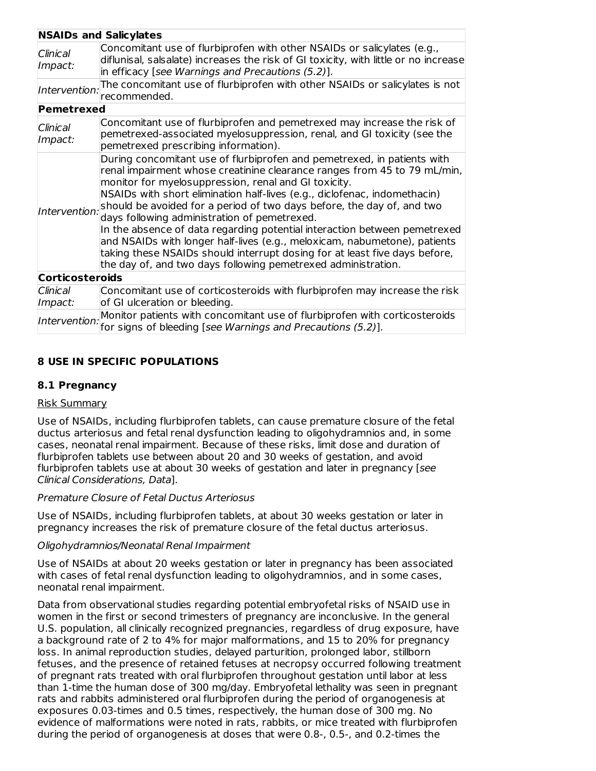|                        | <b>NSAIDs and Salicylates</b>                                                                                                                                                                                                                                                                                                                                                                                                                                                                                                                                                                                                                                                                                               |
|------------------------|-----------------------------------------------------------------------------------------------------------------------------------------------------------------------------------------------------------------------------------------------------------------------------------------------------------------------------------------------------------------------------------------------------------------------------------------------------------------------------------------------------------------------------------------------------------------------------------------------------------------------------------------------------------------------------------------------------------------------------|
| Clinical<br>Impact:    | Concomitant use of flurbiprofen with other NSAIDs or salicylates (e.g.,<br>diflunisal, salsalate) increases the risk of GI toxicity, with little or no increase<br>in efficacy [see Warnings and Precautions (5.2)].                                                                                                                                                                                                                                                                                                                                                                                                                                                                                                        |
| Intervention:          | The concomitant use of flurbiprofen with other NSAIDs or salicylates is not<br>recommended.                                                                                                                                                                                                                                                                                                                                                                                                                                                                                                                                                                                                                                 |
| Pemetrexed             |                                                                                                                                                                                                                                                                                                                                                                                                                                                                                                                                                                                                                                                                                                                             |
| Clinical<br>Impact:    | Concomitant use of flurbiprofen and pemetrexed may increase the risk of<br>pemetrexed-associated myelosuppression, renal, and GI toxicity (see the<br>pemetrexed prescribing information).                                                                                                                                                                                                                                                                                                                                                                                                                                                                                                                                  |
| Intervention:          | During concomitant use of flurbiprofen and pemetrexed, in patients with<br>renal impairment whose creatinine clearance ranges from 45 to 79 mL/min,<br>monitor for myelosuppression, renal and GI toxicity.<br>NSAIDs with short elimination half-lives (e.g., diclofenac, indomethacin)<br>should be avoided for a period of two days before, the day of, and two<br>days following administration of pemetrexed.<br>In the absence of data regarding potential interaction between pemetrexed<br>and NSAIDs with longer half-lives (e.g., meloxicam, nabumetone), patients<br>taking these NSAIDs should interrupt dosing for at least five days before,<br>the day of, and two days following pemetrexed administration. |
| <b>Corticosteroids</b> |                                                                                                                                                                                                                                                                                                                                                                                                                                                                                                                                                                                                                                                                                                                             |
| Clinical<br>Impact:    | Concomitant use of corticosteroids with flurbiprofen may increase the risk<br>of GI ulceration or bleeding.                                                                                                                                                                                                                                                                                                                                                                                                                                                                                                                                                                                                                 |
| Intervention:          | Monitor patients with concomitant use of flurbiprofen with corticosteroids<br>for signs of bleeding [see Warnings and Precautions (5.2)].                                                                                                                                                                                                                                                                                                                                                                                                                                                                                                                                                                                   |

# **8 USE IN SPECIFIC POPULATIONS**

# **8.1 Pregnancy**

#### Risk Summary

Use of NSAIDs, including flurbiprofen tablets, can cause premature closure of the fetal ductus arteriosus and fetal renal dysfunction leading to oligohydramnios and, in some cases, neonatal renal impairment. Because of these risks, limit dose and duration of flurbiprofen tablets use between about 20 and 30 weeks of gestation, and avoid flurbiprofen tablets use at about 30 weeks of gestation and later in pregnancy [see Clinical Considerations, Data].

#### Premature Closure of Fetal Ductus Arteriosus

Use of NSAIDs, including flurbiprofen tablets, at about 30 weeks gestation or later in pregnancy increases the risk of premature closure of the fetal ductus arteriosus.

#### Oligohydramnios/Neonatal Renal Impairment

Use of NSAIDs at about 20 weeks gestation or later in pregnancy has been associated with cases of fetal renal dysfunction leading to oligohydramnios, and in some cases, neonatal renal impairment.

Data from observational studies regarding potential embryofetal risks of NSAID use in women in the first or second trimesters of pregnancy are inconclusive. In the general U.S. population, all clinically recognized pregnancies, regardless of drug exposure, have a background rate of 2 to 4% for major malformations, and 15 to 20% for pregnancy loss. In animal reproduction studies, delayed parturition, prolonged labor, stillborn fetuses, and the presence of retained fetuses at necropsy occurred following treatment of pregnant rats treated with oral flurbiprofen throughout gestation until labor at less than 1-time the human dose of 300 mg/day. Embryofetal lethality was seen in pregnant rats and rabbits administered oral flurbiprofen during the period of organogenesis at exposures 0.03-times and 0.5 times, respectively, the human dose of 300 mg. No evidence of malformations were noted in rats, rabbits, or mice treated with flurbiprofen during the period of organogenesis at doses that were 0.8-, 0.5-, and 0.2-times the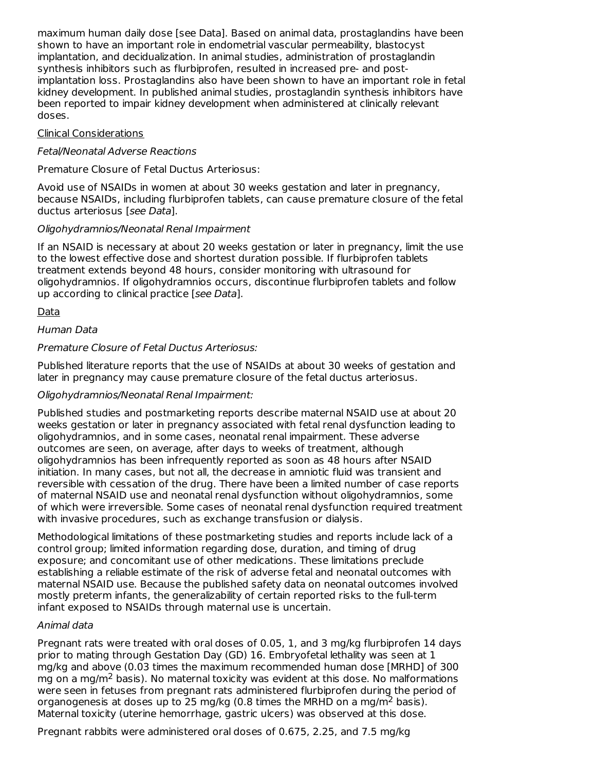maximum human daily dose [see Data]. Based on animal data, prostaglandins have been shown to have an important role in endometrial vascular permeability, blastocyst implantation, and decidualization. In animal studies, administration of prostaglandin synthesis inhibitors such as flurbiprofen, resulted in increased pre- and postimplantation loss. Prostaglandins also have been shown to have an important role in fetal kidney development. In published animal studies, prostaglandin synthesis inhibitors have been reported to impair kidney development when administered at clinically relevant doses.

#### Clinical Considerations

#### Fetal/Neonatal Adverse Reactions

Premature Closure of Fetal Ductus Arteriosus:

Avoid use of NSAIDs in women at about 30 weeks gestation and later in pregnancy, because NSAIDs, including flurbiprofen tablets, can cause premature closure of the fetal ductus arteriosus [see Data].

#### Oligohydramnios/Neonatal Renal Impairment

If an NSAID is necessary at about 20 weeks gestation or later in pregnancy, limit the use to the lowest effective dose and shortest duration possible. If flurbiprofen tablets treatment extends beyond 48 hours, consider monitoring with ultrasound for oligohydramnios. If oligohydramnios occurs, discontinue flurbiprofen tablets and follow up according to clinical practice [see Data].

#### **Data**

Human Data

#### Premature Closure of Fetal Ductus Arteriosus:

Published literature reports that the use of NSAIDs at about 30 weeks of gestation and later in pregnancy may cause premature closure of the fetal ductus arteriosus.

#### Oligohydramnios/Neonatal Renal Impairment:

Published studies and postmarketing reports describe maternal NSAID use at about 20 weeks gestation or later in pregnancy associated with fetal renal dysfunction leading to oligohydramnios, and in some cases, neonatal renal impairment. These adverse outcomes are seen, on average, after days to weeks of treatment, although oligohydramnios has been infrequently reported as soon as 48 hours after NSAID initiation. In many cases, but not all, the decrease in amniotic fluid was transient and reversible with cessation of the drug. There have been a limited number of case reports of maternal NSAID use and neonatal renal dysfunction without oligohydramnios, some of which were irreversible. Some cases of neonatal renal dysfunction required treatment with invasive procedures, such as exchange transfusion or dialysis.

Methodological limitations of these postmarketing studies and reports include lack of a control group; limited information regarding dose, duration, and timing of drug exposure; and concomitant use of other medications. These limitations preclude establishing a reliable estimate of the risk of adverse fetal and neonatal outcomes with maternal NSAID use. Because the published safety data on neonatal outcomes involved mostly preterm infants, the generalizability of certain reported risks to the full-term infant exposed to NSAIDs through maternal use is uncertain.

# Animal data

Pregnant rats were treated with oral doses of 0.05, 1, and 3 mg/kg flurbiprofen 14 days prior to mating through Gestation Day (GD) 16. Embryofetal lethality was seen at 1 mg/kg and above (0.03 times the maximum recommended human dose [MRHD] of 300  $mg$  on a mg/m<sup>2</sup> basis). No maternal toxicity was evident at this dose. No malformations were seen in fetuses from pregnant rats administered flurbiprofen during the period of organogenesis at doses up to 25 mg/kg (0.8 times the MRHD on a mg/m<sup>2</sup> basis). Maternal toxicity (uterine hemorrhage, gastric ulcers) was observed at this dose.

Pregnant rabbits were administered oral doses of 0.675, 2.25, and 7.5 mg/kg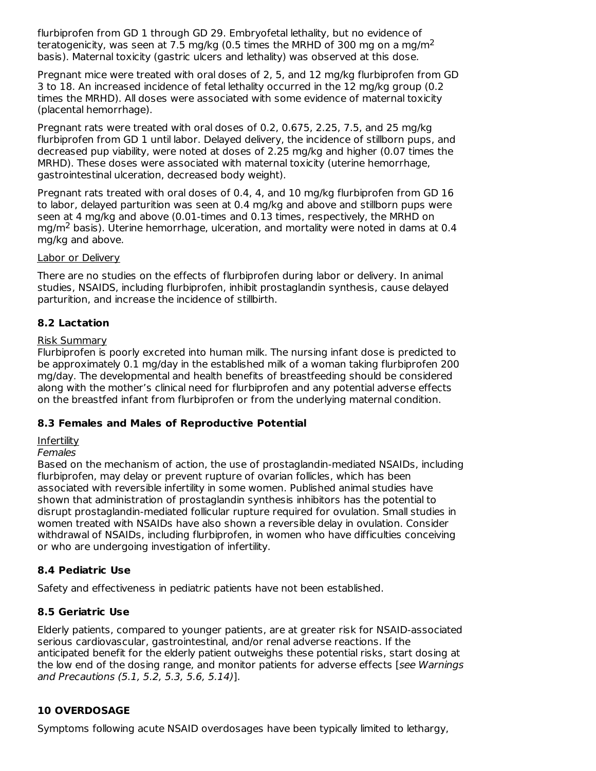flurbiprofen from GD 1 through GD 29. Embryofetal lethality, but no evidence of teratogenicity, was seen at 7.5 mg/kg (0.5 times the MRHD of 300 mg on a mg/m<sup>2</sup> basis). Maternal toxicity (gastric ulcers and lethality) was observed at this dose.

Pregnant mice were treated with oral doses of 2, 5, and 12 mg/kg flurbiprofen from GD 3 to 18. An increased incidence of fetal lethality occurred in the 12 mg/kg group (0.2 times the MRHD). All doses were associated with some evidence of maternal toxicity (placental hemorrhage).

Pregnant rats were treated with oral doses of 0.2, 0.675, 2.25, 7.5, and 25 mg/kg flurbiprofen from GD 1 until labor. Delayed delivery, the incidence of stillborn pups, and decreased pup viability, were noted at doses of 2.25 mg/kg and higher (0.07 times the MRHD). These doses were associated with maternal toxicity (uterine hemorrhage, gastrointestinal ulceration, decreased body weight).

Pregnant rats treated with oral doses of 0.4, 4, and 10 mg/kg flurbiprofen from GD 16 to labor, delayed parturition was seen at 0.4 mg/kg and above and stillborn pups were seen at 4 mg/kg and above (0.01-times and 0.13 times, respectively, the MRHD on  $mg/m<sup>2</sup>$  basis). Uterine hemorrhage, ulceration, and mortality were noted in dams at 0.4 mg/kg and above.

#### Labor or Delivery

There are no studies on the effects of flurbiprofen during labor or delivery. In animal studies, NSAIDS, including flurbiprofen, inhibit prostaglandin synthesis, cause delayed parturition, and increase the incidence of stillbirth.

# **8.2 Lactation**

#### Risk Summary

Flurbiprofen is poorly excreted into human milk. The nursing infant dose is predicted to be approximately 0.1 mg/day in the established milk of a woman taking flurbiprofen 200 mg/day. The developmental and health benefits of breastfeeding should be considered along with the mother's clinical need for flurbiprofen and any potential adverse effects on the breastfed infant from flurbiprofen or from the underlying maternal condition.

# **8.3 Females and Males of Reproductive Potential**

#### Infertility

#### Females

Based on the mechanism of action, the use of prostaglandin-mediated NSAIDs, including flurbiprofen, may delay or prevent rupture of ovarian follicles, which has been associated with reversible infertility in some women. Published animal studies have shown that administration of prostaglandin synthesis inhibitors has the potential to disrupt prostaglandin-mediated follicular rupture required for ovulation. Small studies in women treated with NSAIDs have also shown a reversible delay in ovulation. Consider withdrawal of NSAIDs, including flurbiprofen, in women who have difficulties conceiving or who are undergoing investigation of infertility.

# **8.4 Pediatric Use**

Safety and effectiveness in pediatric patients have not been established.

# **8.5 Geriatric Use**

Elderly patients, compared to younger patients, are at greater risk for NSAID-associated serious cardiovascular, gastrointestinal, and/or renal adverse reactions. If the anticipated benefit for the elderly patient outweighs these potential risks, start dosing at the low end of the dosing range, and monitor patients for adverse effects [see Warnings] and Precautions (5.1, 5.2, 5.3, 5.6, 5.14)].

# **10 OVERDOSAGE**

Symptoms following acute NSAID overdosages have been typically limited to lethargy,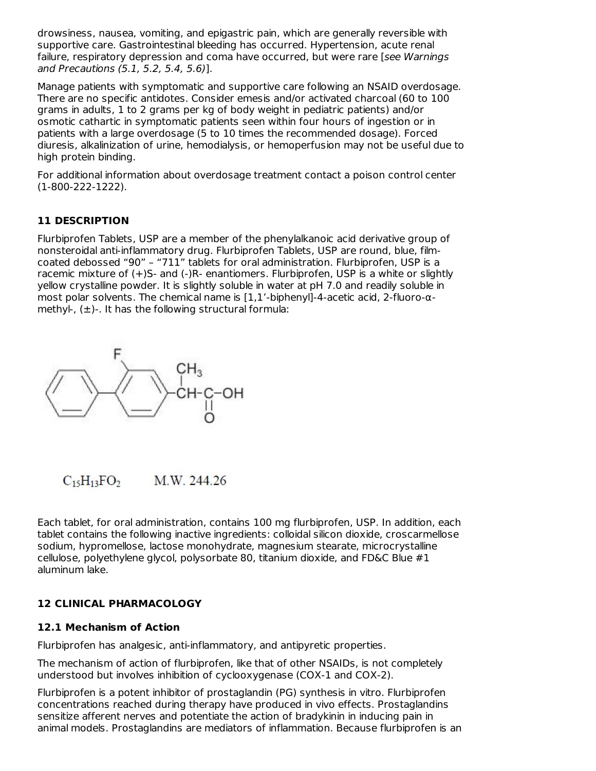drowsiness, nausea, vomiting, and epigastric pain, which are generally reversible with supportive care. Gastrointestinal bleeding has occurred. Hypertension, acute renal failure, respiratory depression and coma have occurred, but were rare [see Warnings] and Precautions (5.1, 5.2, 5.4, 5.6)].

Manage patients with symptomatic and supportive care following an NSAID overdosage. There are no specific antidotes. Consider emesis and/or activated charcoal (60 to 100 grams in adults, 1 to 2 grams per kg of body weight in pediatric patients) and/or osmotic cathartic in symptomatic patients seen within four hours of ingestion or in patients with a large overdosage (5 to 10 times the recommended dosage). Forced diuresis, alkalinization of urine, hemodialysis, or hemoperfusion may not be useful due to high protein binding.

For additional information about overdosage treatment contact a poison control center (1-800-222-1222).

# **11 DESCRIPTION**

Flurbiprofen Tablets, USP are a member of the phenylalkanoic acid derivative group of nonsteroidal anti-inflammatory drug. Flurbiprofen Tablets, USP are round, blue, filmcoated debossed "90" – "711" tablets for oral administration. Flurbiprofen, USP is a racemic mixture of (+)S- and (-)R- enantiomers. Flurbiprofen, USP is a white or slightly yellow crystalline powder. It is slightly soluble in water at pH 7.0 and readily soluble in most polar solvents. The chemical name is [1,1'-biphenyl]-4-acetic acid, 2-fluoro-αmethyl-,  $(\pm)$ -. It has the following structural formula:





Each tablet, for oral administration, contains 100 mg flurbiprofen, USP. In addition, each tablet contains the following inactive ingredients: colloidal silicon dioxide, croscarmellose sodium, hypromellose, lactose monohydrate, magnesium stearate, microcrystalline cellulose, polyethylene glycol, polysorbate 80, titanium dioxide, and FD&C Blue #1 aluminum lake.

# **12 CLINICAL PHARMACOLOGY**

#### **12.1 Mechanism of Action**

Flurbiprofen has analgesic, anti-inflammatory, and antipyretic properties.

The mechanism of action of flurbiprofen, like that of other NSAIDs, is not completely understood but involves inhibition of cyclooxygenase (COX-1 and COX-2).

Flurbiprofen is a potent inhibitor of prostaglandin (PG) synthesis in vitro. Flurbiprofen concentrations reached during therapy have produced in vivo effects. Prostaglandins sensitize afferent nerves and potentiate the action of bradykinin in inducing pain in animal models. Prostaglandins are mediators of inflammation. Because flurbiprofen is an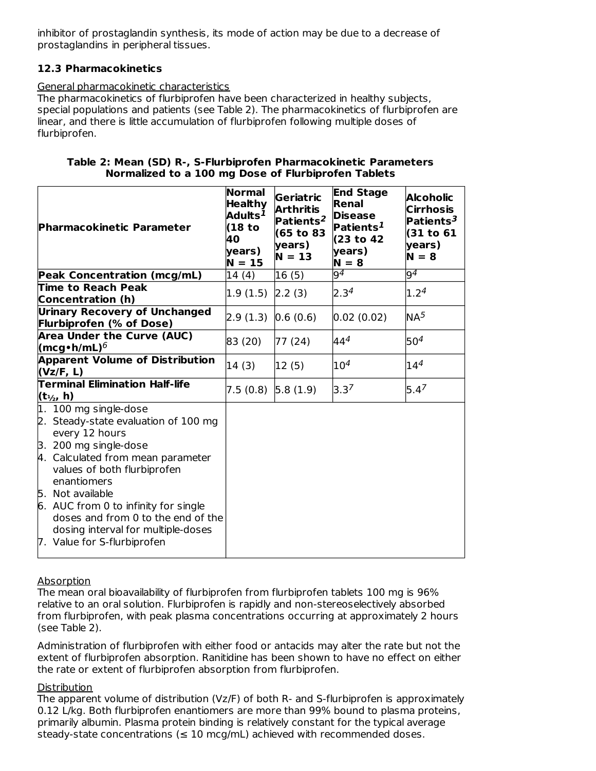inhibitor of prostaglandin synthesis, its mode of action may be due to a decrease of prostaglandins in peripheral tissues.

## **12.3 Pharmacokinetics**

#### General pharmacokinetic characteristics

The pharmacokinetics of flurbiprofen have been characterized in healthy subjects, special populations and patients (see Table 2). The pharmacokinetics of flurbiprofen are linear, and there is little accumulation of flurbiprofen following multiple doses of flurbiprofen.

| Table 2: Mean (SD) R-, S-Flurbiprofen Pharmacokinetic Parameters |
|------------------------------------------------------------------|
| Normalized to a 100 mg Dose of Flurbiprofen Tablets              |

| Pharmacokinetic Parameter                                                                                                                                                                                                                                                                                                                                          | <b>Normal</b><br><b>Healthy</b><br>Adults $\pmb{\cdot}$<br>(18 to<br>40<br>years)<br>$N = 15$ | <b>Geriatric</b><br><b>Arthritis</b><br>Patients <sup>2</sup><br>(65 to 83<br>years)<br>$N = 13$ | <b>End Stage</b><br>Renal<br><b>Disease</b><br>Patients $\boldsymbol{\scriptstyle{1}}$<br>(23 to 42<br>years)<br>$N = 8$ | <b>Alcoholic</b><br>Cirrhosis<br>Patients $^{\mathsf{3}}$<br>(31 to 61<br>years)<br>$N = 8$ |
|--------------------------------------------------------------------------------------------------------------------------------------------------------------------------------------------------------------------------------------------------------------------------------------------------------------------------------------------------------------------|-----------------------------------------------------------------------------------------------|--------------------------------------------------------------------------------------------------|--------------------------------------------------------------------------------------------------------------------------|---------------------------------------------------------------------------------------------|
| <b>Peak Concentration (mcg/mL)</b>                                                                                                                                                                                                                                                                                                                                 | 14(4)                                                                                         | 16 (5)                                                                                           | 94                                                                                                                       | g4                                                                                          |
| Time to Reach Peak<br>Concentration (h)                                                                                                                                                                                                                                                                                                                            | 1.9(1.5) 2.2(3)                                                                               |                                                                                                  | 2.3 <sup>4</sup>                                                                                                         | 1.2 <sup>4</sup>                                                                            |
| <b>Urinary Recovery of Unchanged</b><br><b>Flurbiprofen (% of Dose)</b>                                                                                                                                                                                                                                                                                            | 2.9(1.3)                                                                                      | 0.6(0.6)                                                                                         | 0.02(0.02)                                                                                                               | NA <sup>5</sup>                                                                             |
| <b>Area Under the Curve (AUC)</b><br><code>(mcg•h/mL)<math>^6</math></code>                                                                                                                                                                                                                                                                                        | 83 (20)                                                                                       | 77 (24)                                                                                          | 444                                                                                                                      | 50 <sup>4</sup>                                                                             |
| <b>Apparent Volume of Distribution</b><br>(Vz/F, L)                                                                                                                                                                                                                                                                                                                | 14(3)                                                                                         | 12(5)                                                                                            | $10^4$                                                                                                                   | $14^{4}$                                                                                    |
| <b>Terminal Elimination Half-life</b><br>$(t_{\frac{1}{2}} , h)$                                                                                                                                                                                                                                                                                                   | $7.5(0.8)$ 5.8 (1.9)                                                                          |                                                                                                  | 3.3 <sup>7</sup>                                                                                                         | 5.4 <sup>7</sup>                                                                            |
| 1. 100 mg single-dose<br>2. Steady-state evaluation of 100 mg<br>every 12 hours<br>B. 200 mg single-dose<br>4. Calculated from mean parameter<br>values of both flurbiprofen<br>enantiomers<br>5. Not available<br>6. AUC from 0 to infinity for single<br>doses and from 0 to the end of the<br>dosing interval for multiple-doses<br>7. Value for S-flurbiprofen |                                                                                               |                                                                                                  |                                                                                                                          |                                                                                             |

# Absorption

The mean oral bioavailability of flurbiprofen from flurbiprofen tablets 100 mg is 96% relative to an oral solution. Flurbiprofen is rapidly and non-stereoselectively absorbed from flurbiprofen, with peak plasma concentrations occurring at approximately 2 hours (see Table 2).

Administration of flurbiprofen with either food or antacids may alter the rate but not the extent of flurbiprofen absorption. Ranitidine has been shown to have no effect on either the rate or extent of flurbiprofen absorption from flurbiprofen.

#### **Distribution**

The apparent volume of distribution (Vz/F) of both R- and S-flurbiprofen is approximately 0.12 L/kg. Both flurbiprofen enantiomers are more than 99% bound to plasma proteins, primarily albumin. Plasma protein binding is relatively constant for the typical average steady-state concentrations ( $\leq 10$  mcg/mL) achieved with recommended doses.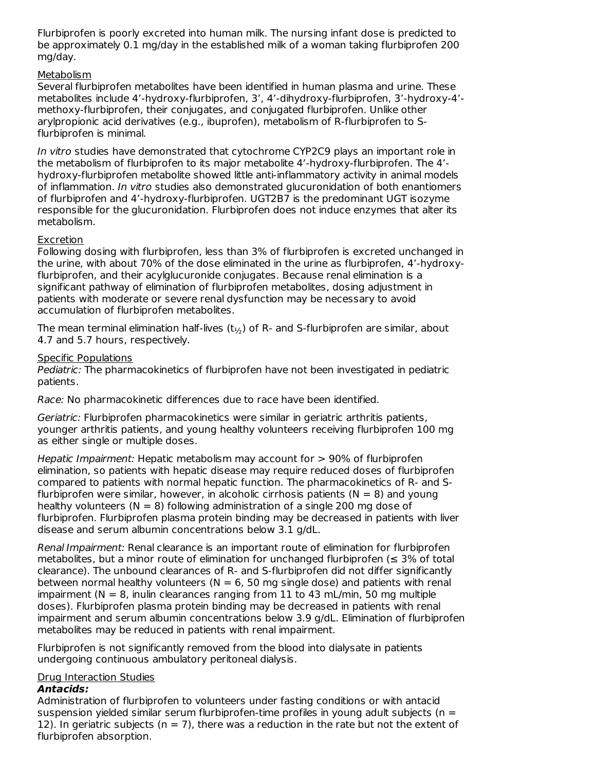Flurbiprofen is poorly excreted into human milk. The nursing infant dose is predicted to be approximately 0.1 mg/day in the established milk of a woman taking flurbiprofen 200 mg/day.

# Metabolism

Several flurbiprofen metabolites have been identified in human plasma and urine. These metabolites include 4'-hydroxy-flurbiprofen, 3', 4'-dihydroxy-flurbiprofen, 3'-hydroxy-4' methoxy-flurbiprofen, their conjugates, and conjugated flurbiprofen. Unlike other arylpropionic acid derivatives (e.g., ibuprofen), metabolism of R-flurbiprofen to Sflurbiprofen is minimal.

In vitro studies have demonstrated that cytochrome CYP2C9 plays an important role in the metabolism of flurbiprofen to its major metabolite 4'-hydroxy-flurbiprofen. The 4' hydroxy-flurbiprofen metabolite showed little anti-inflammatory activity in animal models of inflammation. In vitro studies also demonstrated glucuronidation of both enantiomers of flurbiprofen and 4'-hydroxy-flurbiprofen. UGT2B7 is the predominant UGT isozyme responsible for the glucuronidation. Flurbiprofen does not induce enzymes that alter its metabolism.

# Excretion

Following dosing with flurbiprofen, less than 3% of flurbiprofen is excreted unchanged in the urine, with about 70% of the dose eliminated in the urine as flurbiprofen, 4'-hydroxyflurbiprofen, and their acylglucuronide conjugates. Because renal elimination is a significant pathway of elimination of flurbiprofen metabolites, dosing adjustment in patients with moderate or severe renal dysfunction may be necessary to avoid accumulation of flurbiprofen metabolites.

The mean terminal elimination half-lives (t $_{\rm 1/2}$ ) of R- and S-flurbiprofen are similar, about 4.7 and 5.7 hours, respectively.

#### Specific Populations

Pediatric: The pharmacokinetics of flurbiprofen have not been investigated in pediatric patients.

Race: No pharmacokinetic differences due to race have been identified.

Geriatric: Flurbiprofen pharmacokinetics were similar in geriatric arthritis patients, younger arthritis patients, and young healthy volunteers receiving flurbiprofen 100 mg as either single or multiple doses.

Hepatic Impairment: Hepatic metabolism may account for > 90% of flurbiprofen elimination, so patients with hepatic disease may require reduced doses of flurbiprofen compared to patients with normal hepatic function. The pharmacokinetics of R- and Sflurbiprofen were similar, however, in alcoholic cirrhosis patients ( $N = 8$ ) and young healthy volunteers  $(N = 8)$  following administration of a single 200 mg dose of flurbiprofen. Flurbiprofen plasma protein binding may be decreased in patients with liver disease and serum albumin concentrations below 3.1 g/dL.

Renal Impairment: Renal clearance is an important route of elimination for flurbiprofen metabolites, but a minor route of elimination for unchanged flurbiprofen ( $\leq$  3% of total clearance). The unbound clearances of R- and S-flurbiprofen did not differ significantly between normal healthy volunteers ( $N = 6$ , 50 mg single dose) and patients with renal impairment ( $N = 8$ , inulin clearances ranging from 11 to 43 mL/min, 50 mg multiple doses). Flurbiprofen plasma protein binding may be decreased in patients with renal impairment and serum albumin concentrations below 3.9 g/dL. Elimination of flurbiprofen metabolites may be reduced in patients with renal impairment.

Flurbiprofen is not significantly removed from the blood into dialysate in patients undergoing continuous ambulatory peritoneal dialysis.

# Drug Interaction Studies

#### **Antacids:**

Administration of flurbiprofen to volunteers under fasting conditions or with antacid suspension yielded similar serum flurbiprofen-time profiles in young adult subjects ( $n =$ 12). In geriatric subjects ( $n = 7$ ), there was a reduction in the rate but not the extent of flurbiprofen absorption.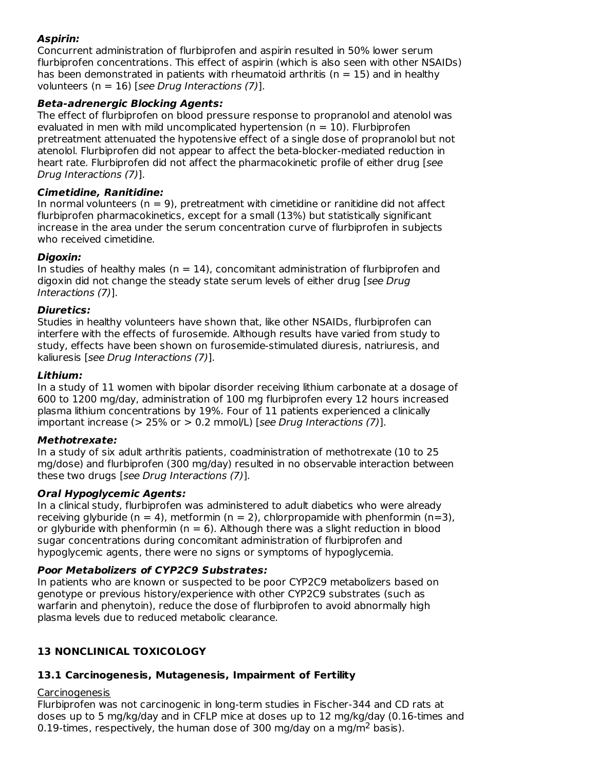# **Aspirin:**

Concurrent administration of flurbiprofen and aspirin resulted in 50% lower serum flurbiprofen concentrations. This effect of aspirin (which is also seen with other NSAIDs) has been demonstrated in patients with rheumatoid arthritis ( $n = 15$ ) and in healthy volunteers ( $n = 16$ ) [see Drug Interactions (7)].

# **Beta-adrenergic Blocking Agents:**

The effect of flurbiprofen on blood pressure response to propranolol and atenolol was evaluated in men with mild uncomplicated hypertension ( $n = 10$ ). Flurbiprofen pretreatment attenuated the hypotensive effect of a single dose of propranolol but not atenolol. Flurbiprofen did not appear to affect the beta-blocker-mediated reduction in heart rate. Flurbiprofen did not affect the pharmacokinetic profile of either drug [see Drug Interactions (7)].

# **Cimetidine, Ranitidine:**

In normal volunteers ( $n = 9$ ), pretreatment with cimetidine or ranitidine did not affect flurbiprofen pharmacokinetics, except for a small (13%) but statistically significant increase in the area under the serum concentration curve of flurbiprofen in subjects who received cimetidine.

# **Digoxin:**

In studies of healthy males ( $n = 14$ ), concomitant administration of flurbiprofen and digoxin did not change the steady state serum levels of either drug [see Drug] Interactions (7)].

# **Diuretics:**

Studies in healthy volunteers have shown that, like other NSAIDs, flurbiprofen can interfere with the effects of furosemide. Although results have varied from study to study, effects have been shown on furosemide-stimulated diuresis, natriuresis, and kaliuresis [see Drug Interactions (7)].

# **Lithium:**

In a study of 11 women with bipolar disorder receiving lithium carbonate at a dosage of 600 to 1200 mg/day, administration of 100 mg flurbiprofen every 12 hours increased plasma lithium concentrations by 19%. Four of 11 patients experienced a clinically important increase ( $> 25\%$  or  $> 0.2$  mmol/L) [see Drug Interactions (7)].

# **Methotrexate:**

In a study of six adult arthritis patients, coadministration of methotrexate (10 to 25 mg/dose) and flurbiprofen (300 mg/day) resulted in no observable interaction between these two drugs [see Drug Interactions (7)].

# **Oral Hypoglycemic Agents:**

In a clinical study, flurbiprofen was administered to adult diabetics who were already receiving glyburide ( $n = 4$ ), metformin ( $n = 2$ ), chlorpropamide with phenformin ( $n=3$ ), or glyburide with phenformin ( $n = 6$ ). Although there was a slight reduction in blood sugar concentrations during concomitant administration of flurbiprofen and hypoglycemic agents, there were no signs or symptoms of hypoglycemia.

# **Poor Metabolizers of CYP2C9 Substrates:**

In patients who are known or suspected to be poor CYP2C9 metabolizers based on genotype or previous history/experience with other CYP2C9 substrates (such as warfarin and phenytoin), reduce the dose of flurbiprofen to avoid abnormally high plasma levels due to reduced metabolic clearance.

# **13 NONCLINICAL TOXICOLOGY**

# **13.1 Carcinogenesis, Mutagenesis, Impairment of Fertility**

# Carcinogenesis

Flurbiprofen was not carcinogenic in long-term studies in Fischer-344 and CD rats at doses up to 5 mg/kg/day and in CFLP mice at doses up to 12 mg/kg/day (0.16-times and 0.19-times, respectively, the human dose of 300 mg/day on a mg/m<sup>2</sup> basis).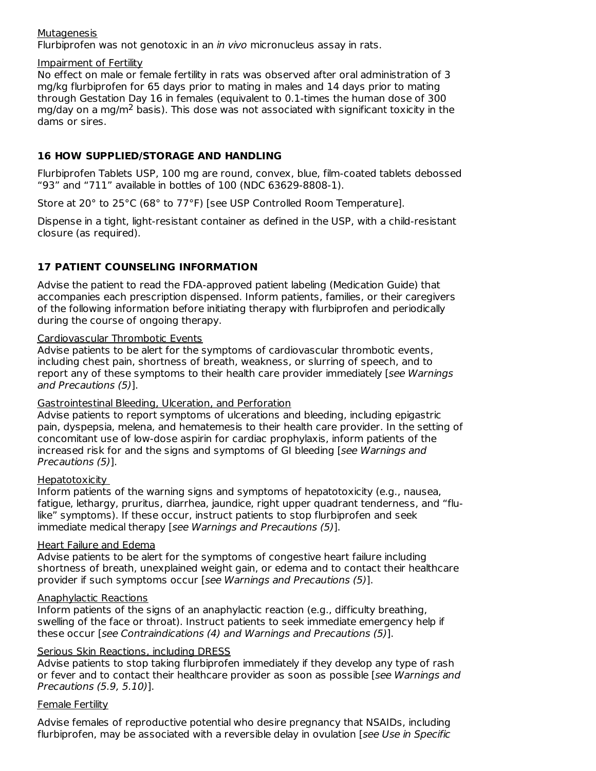# **Mutagenesis**

Flurbiprofen was not genotoxic in an *in vivo* micronucleus assay in rats.

#### Impairment of Fertility

No effect on male or female fertility in rats was observed after oral administration of 3 mg/kg flurbiprofen for 65 days prior to mating in males and 14 days prior to mating through Gestation Day 16 in females (equivalent to 0.1-times the human dose of 300 mg/day on a mg/m<sup>2</sup> basis). This dose was not associated with significant toxicity in the dams or sires.

# **16 HOW SUPPLIED/STORAGE AND HANDLING**

Flurbiprofen Tablets USP, 100 mg are round, convex, blue, film-coated tablets debossed "93" and "711" available in bottles of 100 (NDC 63629-8808-1).

Store at 20° to 25°C (68° to 77°F) [see USP Controlled Room Temperature].

Dispense in a tight, light-resistant container as defined in the USP, with a child-resistant closure (as required).

# **17 PATIENT COUNSELING INFORMATION**

Advise the patient to read the FDA-approved patient labeling (Medication Guide) that accompanies each prescription dispensed. Inform patients, families, or their caregivers of the following information before initiating therapy with flurbiprofen and periodically during the course of ongoing therapy.

#### Cardiovascular Thrombotic Events

Advise patients to be alert for the symptoms of cardiovascular thrombotic events, including chest pain, shortness of breath, weakness, or slurring of speech, and to report any of these symptoms to their health care provider immediately [see Warnings] and Precautions (5)].

# Gastrointestinal Bleeding, Ulceration, and Perforation

Advise patients to report symptoms of ulcerations and bleeding, including epigastric pain, dyspepsia, melena, and hematemesis to their health care provider. In the setting of concomitant use of low-dose aspirin for cardiac prophylaxis, inform patients of the increased risk for and the signs and symptoms of GI bleeding [see Warnings and Precautions (5)].

# Hepatotoxicity

Inform patients of the warning signs and symptoms of hepatotoxicity (e.g., nausea, fatigue, lethargy, pruritus, diarrhea, jaundice, right upper quadrant tenderness, and "flulike" symptoms). If these occur, instruct patients to stop flurbiprofen and seek immediate medical therapy [see Warnings and Precautions (5)].

#### Heart Failure and Edema

Advise patients to be alert for the symptoms of congestive heart failure including shortness of breath, unexplained weight gain, or edema and to contact their healthcare provider if such symptoms occur [see Warnings and Precautions (5)].

# Anaphylactic Reactions

Inform patients of the signs of an anaphylactic reaction (e.g., difficulty breathing, swelling of the face or throat). Instruct patients to seek immediate emergency help if these occur [see Contraindications (4) and Warnings and Precautions (5)].

#### Serious Skin Reactions, including DRESS

Advise patients to stop taking flurbiprofen immediately if they develop any type of rash or fever and to contact their healthcare provider as soon as possible [see Warnings and Precautions (5.9, 5.10)].

# Female Fertility

Advise females of reproductive potential who desire pregnancy that NSAIDs, including flurbiprofen, may be associated with a reversible delay in ovulation [see Use in Specific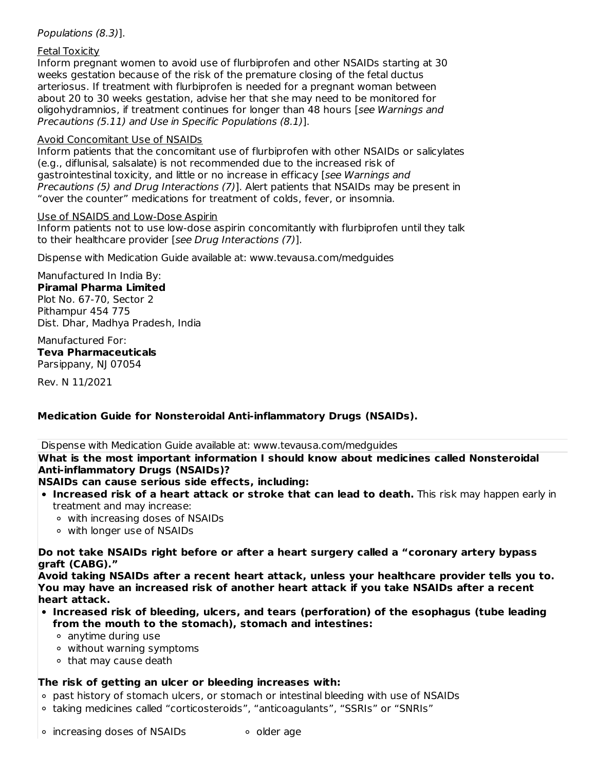# Populations (8.3)].

# Fetal Toxicity

Inform pregnant women to avoid use of flurbiprofen and other NSAIDs starting at 30 weeks gestation because of the risk of the premature closing of the fetal ductus arteriosus. If treatment with flurbiprofen is needed for a pregnant woman between about 20 to 30 weeks gestation, advise her that she may need to be monitored for oligohydramnios, if treatment continues for longer than 48 hours [see Warnings and Precautions (5.11) and Use in Specific Populations (8.1)].

# Avoid Concomitant Use of NSAIDs

Inform patients that the concomitant use of flurbiprofen with other NSAIDs or salicylates (e.g., diflunisal, salsalate) is not recommended due to the increased risk of gastrointestinal toxicity, and little or no increase in efficacy [see Warnings and Precautions (5) and Drug Interactions (7)]. Alert patients that NSAIDs may be present in "over the counter" medications for treatment of colds, fever, or insomnia.

# Use of NSAIDS and Low-Dose Aspirin

Inform patients not to use low-dose aspirin concomitantly with flurbiprofen until they talk to their healthcare provider [see Drug Interactions (7)].

Dispense with Medication Guide available at: www.tevausa.com/medguides

# Manufactured In India By:

**Piramal Pharma Limited**

Plot No. 67-70, Sector 2 Pithampur 454 775 Dist. Dhar, Madhya Pradesh, India

#### Manufactured For: **Teva Pharmaceuticals** Parsippany, NJ 07054

Rev. N 11/2021

# **Medication Guide for Nonsteroidal Anti-inflammatory Drugs (NSAIDs).**

Dispense with Medication Guide available at: www.tevausa.com/medguides

**What is the most important information I should know about medicines called Nonsteroidal Anti-inflammatory Drugs (NSAIDs)?**

# **NSAIDs can cause serious side effects, including:**

- **Increased risk of a heart attack or stroke that can lead to death.** This risk may happen early in treatment and may increase:
	- with increasing doses of NSAIDs
	- with longer use of NSAIDs

#### **Do not take NSAIDs right before or after a heart surgery called a "coronary artery bypass graft (CABG)."**

**Avoid taking NSAIDs after a recent heart attack, unless your healthcare provider tells you to. You may have an increased risk of another heart attack if you take NSAIDs after a recent heart attack.**

- **Increased risk of bleeding, ulcers, and tears (perforation) of the esophagus (tube leading from the mouth to the stomach), stomach and intestines:**
	- anytime during use
	- without warning symptoms
	- that may cause death

# **The risk of getting an ulcer or bleeding increases with:**

- o past history of stomach ulcers, or stomach or intestinal bleeding with use of NSAIDs
- taking medicines called "corticosteroids", "anticoagulants", "SSRIs" or "SNRIs"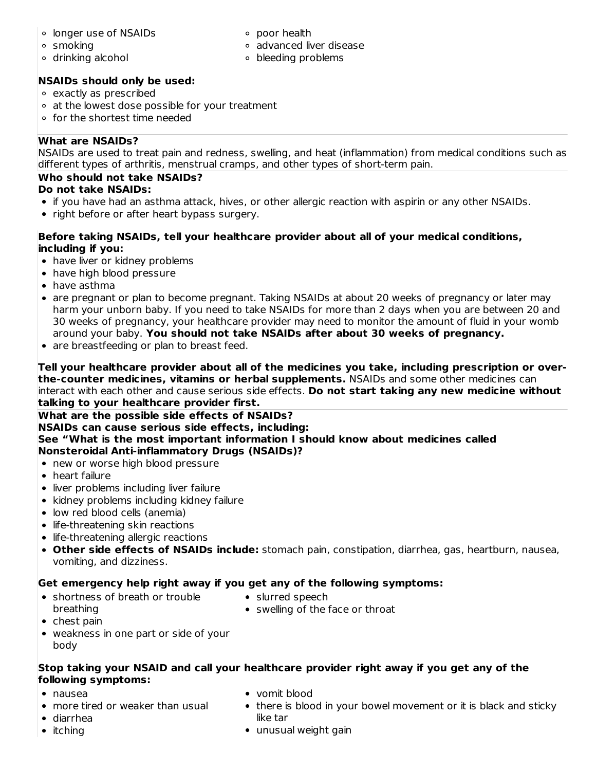- longer use of NSAIDs
- smoking
- drinking alcohol
- poor health
- advanced liver disease
- bleeding problems

# **NSAIDs should only be used:**

- exactly as prescribed
- at the lowest dose possible for your treatment
- for the shortest time needed

# **What are NSAIDs?**

NSAIDs are used to treat pain and redness, swelling, and heat (inflammation) from medical conditions such as different types of arthritis, menstrual cramps, and other types of short-term pain.

#### **Who should not take NSAIDs? Do not take NSAIDs:**

- if you have had an asthma attack, hives, or other allergic reaction with aspirin or any other NSAIDs.
- right before or after heart bypass surgery.

# **Before taking NSAIDs, tell your healthcare provider about all of your medical conditions, including if you:**

- have liver or kidney problems
- have high blood pressure
- have asthma
- are pregnant or plan to become pregnant. Taking NSAIDs at about 20 weeks of pregnancy or later may harm your unborn baby. If you need to take NSAIDs for more than 2 days when you are between 20 and 30 weeks of pregnancy, your healthcare provider may need to monitor the amount of fluid in your womb around your baby. **You should not take NSAIDs after about 30 weeks of pregnancy.**
- are breastfeeding or plan to breast feed.

**Tell your healthcare provider about all of the medicines you take, including prescription or overthe-counter medicines, vitamins or herbal supplements.** NSAIDs and some other medicines can interact with each other and cause serious side effects. **Do not start taking any new medicine without talking to your healthcare provider first.**

**What are the possible side effects of NSAIDs?**

**NSAIDs can cause serious side effects, including: See "What is the most important information I should know about medicines called Nonsteroidal Anti-inflammatory Drugs (NSAIDs)?**

# • new or worse high blood pressure

- heart failure
- liver problems including liver failure
- kidney problems including kidney failure
- low red blood cells (anemia)
- life-threatening skin reactions
- life-threatening allergic reactions
- **Other side effects of NSAIDs include:** stomach pain, constipation, diarrhea, gas, heartburn, nausea, vomiting, and dizziness.

# **Get emergency help right away if you get any of the following symptoms:**

- shortness of breath or trouble breathing
- slurred speech
- swelling of the face or throat

 $\bullet$  chest pain

- 
- weakness in one part or side of your body

# **Stop taking your NSAID and call your healthcare provider right away if you get any of the following symptoms:**

vomit blood

- nausea
- more tired or weaker than usual
- diarrhea
- $\bullet$  itching
- there is blood in your bowel movement or it is black and sticky like tar
- unusual weight gain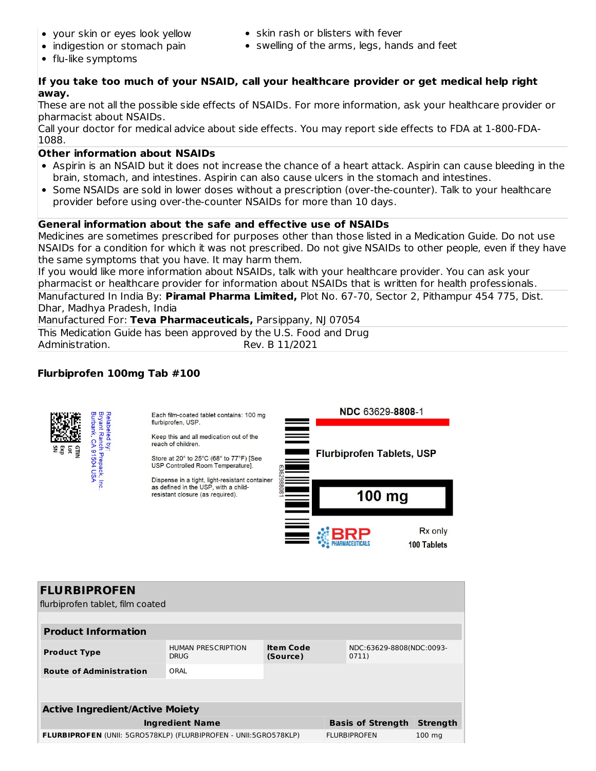- your skin or eyes look yellow
- indigestion or stomach pain
- flu-like symptoms
- skin rash or blisters with fever
- swelling of the arms, legs, hands and feet

#### **If you take too much of your NSAID, call your healthcare provider or get medical help right away.**

These are not all the possible side effects of NSAIDs. For more information, ask your healthcare provider or pharmacist about NSAIDs.

Call your doctor for medical advice about side effects. You may report side effects to FDA at 1-800-FDA-1088.

# **Other information about NSAIDs**

- Aspirin is an NSAID but it does not increase the chance of a heart attack. Aspirin can cause bleeding in the brain, stomach, and intestines. Aspirin can also cause ulcers in the stomach and intestines.
- Some NSAIDs are sold in lower doses without a prescription (over-the-counter). Talk to your healthcare provider before using over-the-counter NSAIDs for more than 10 days.

# **General information about the safe and effective use of NSAIDs**

Medicines are sometimes prescribed for purposes other than those listed in a Medication Guide. Do not use NSAIDs for a condition for which it was not prescribed. Do not give NSAIDs to other people, even if they have the same symptoms that you have. It may harm them.

If you would like more information about NSAIDs, talk with your healthcare provider. You can ask your pharmacist or healthcare provider for information about NSAIDs that is written for health professionals.

Manufactured In India By: **Piramal Pharma Limited,** Plot No. 67-70, Sector 2, Pithampur 454 775, Dist. Dhar, Madhya Pradesh, India

Manufactured For: **Teva Pharmaceuticals,** Parsippany, NJ 07054

This Medication Guide has been approved by the U.S. Food and Drug Administration. Rev. B 11/2021

# **Flurbiprofen 100mg Tab #100**



| <b>FLURBIPROFEN</b>                                              |                                          |                                       |  |                          |                  |  |
|------------------------------------------------------------------|------------------------------------------|---------------------------------------|--|--------------------------|------------------|--|
| flurbiprofen tablet, film coated                                 |                                          |                                       |  |                          |                  |  |
|                                                                  |                                          |                                       |  |                          |                  |  |
| <b>Product Information</b>                                       |                                          |                                       |  |                          |                  |  |
| <b>Product Type</b>                                              | <b>HUMAN PRESCRIPTION</b><br><b>DRUG</b> | <b>Item Code</b><br>0711)<br>(Source) |  | NDC:63629-8808(NDC:0093- |                  |  |
| <b>Route of Administration</b>                                   | ORAL                                     |                                       |  |                          |                  |  |
|                                                                  |                                          |                                       |  |                          |                  |  |
|                                                                  |                                          |                                       |  |                          |                  |  |
| <b>Active Ingredient/Active Moiety</b>                           |                                          |                                       |  |                          |                  |  |
| <b>Basis of Strength</b><br><b>Strength</b><br>Ingredient Name   |                                          |                                       |  |                          |                  |  |
| FLURBIPROFEN (UNII: 5GRO578KLP) (FLURBIPROFEN - UNII:5GRO578KLP) |                                          |                                       |  | <b>FLURBIPROFEN</b>      | $100 \text{ mg}$ |  |